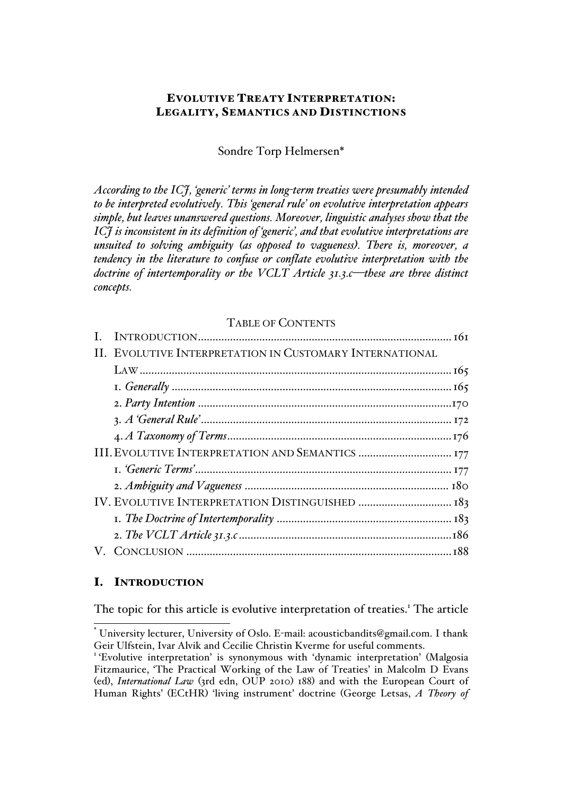## EVOLUTIVE TREATY INTERPRETATION: LEGALITY, SEMANTICS AND DISTINCTIONS

Sondre Torp Helmersen\*

*According to the ICJ, 'generic' terms in long-term treaties were presumably intended to be interpreted evolutively. This 'general rule' on evolutive interpretation appears simple, but leaves unanswered questions. Moreover, linguistic analyses show that the ICJ is inconsistent in its definition of 'generic', and that evolutive interpretations are unsuited to solving ambiguity (as opposed to vagueness). There is, moreover, a tendency in the literature to confuse or conflate evolutive interpretation with the doctrine of intertemporality or the VCLT Article 31.3.c—these are three distinct concepts.*

#### TABLE OF CONTENTS

|  | II. EVOLUTIVE INTERPRETATION IN CUSTOMARY INTERNATIONAL |  |
|--|---------------------------------------------------------|--|
|  |                                                         |  |
|  |                                                         |  |
|  |                                                         |  |
|  |                                                         |  |
|  |                                                         |  |
|  |                                                         |  |
|  |                                                         |  |
|  |                                                         |  |
|  | IV. EVOLUTIVE INTERPRETATION DISTINGUISHED  183         |  |
|  |                                                         |  |
|  |                                                         |  |
|  |                                                         |  |
|  |                                                         |  |

## I. INTRODUCTION

The topic for this article is evolutive interpretation of treaties.<sup>1</sup> The article

 <sup>\*</sup> University lecturer, University of Oslo. E-mail: acousticbandits@gmail.com. I thank Geir Ulfstein, Ivar Alvik and Cecilie Christin Kverme for useful comments.

<sup>&</sup>lt;sup>1</sup>'Evolutive interpretation' is synonymous with 'dynamic interpretation' (Malgosia Fitzmaurice, 'The Practical Working of the Law of Treaties' in Malcolm D Evans (ed), *International Law* (3rd edn, OUP 2010) 188) and with the European Court of Human Rights' (ECtHR) 'living instrument' doctrine (George Letsas, *A Theory of*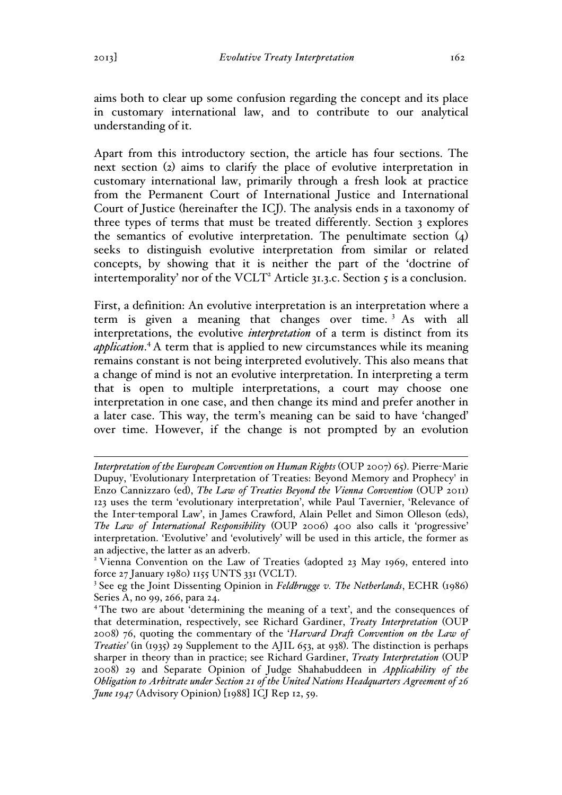aims both to clear up some confusion regarding the concept and its place in customary international law, and to contribute to our analytical understanding of it.

Apart from this introductory section, the article has four sections. The next section (2) aims to clarify the place of evolutive interpretation in customary international law, primarily through a fresh look at practice from the Permanent Court of International Justice and International Court of Justice (hereinafter the ICJ). The analysis ends in a taxonomy of three types of terms that must be treated differently. Section 3 explores the semantics of evolutive interpretation. The penultimate section  $(4)$ seeks to distinguish evolutive interpretation from similar or related concepts, by showing that it is neither the part of the 'doctrine of intertemporality' nor of the VCLT<sup>2</sup> Article 31.3.c. Section 5 is a conclusion.

First, a definition: An evolutive interpretation is an interpretation where a term is given a meaning that changes over time. <sup>3</sup> As with all interpretations, the evolutive *interpretation* of a term is distinct from its *application*. <sup>4</sup> A term that is applied to new circumstances while its meaning remains constant is not being interpreted evolutively. This also means that a change of mind is not an evolutive interpretation. In interpreting a term that is open to multiple interpretations, a court may choose one interpretation in one case, and then change its mind and prefer another in a later case. This way, the term's meaning can be said to have 'changed' over time. However, if the change is not prompted by an evolution

 $\overline{a}$ *Interpretation of the European Convention on Human Rights* (OUP 2007) 65). Pierre-Marie Dupuy, 'Evolutionary Interpretation of Treaties: Beyond Memory and Prophecy' in Enzo Cannizzaro (ed), *The Law of Treaties Beyond the Vienna Convention* (OUP 2011) 123 uses the term 'evolutionary interpretation', while Paul Tavernier, 'Relevance of the Inter-temporal Law', in James Crawford, Alain Pellet and Simon Olleson (eds), *The Law of International Responsibility* (OUP 2006) 400 also calls it 'progressive' interpretation. 'Evolutive' and 'evolutively' will be used in this article, the former as

an adjective, the latter as an adverb.<br><sup>2</sup> Vienna Convention on the Law of Treaties (adopted 23 May 1969, entered into

force 27 January 1980) 1155 UNTS 331 (VCLT). <sup>3</sup> See eg the Joint Dissenting Opinion in *Feldbrugge v. The Netherlands*, ECHR (1986) Series A, no 99, 266, para 24.

<sup>&</sup>lt;sup>4</sup>The two are about 'determining the meaning of a text', and the consequences of that determination, respectively, see Richard Gardiner, *Treaty Interpretation* (OUP 2008) 76, quoting the commentary of the '*Harvard Draft Convention on the Law of Treaties'* (in (1935) 29 Supplement to the AJIL 653, at 938). The distinction is perhaps sharper in theory than in practice; see Richard Gardiner, *Treaty Interpretation* (OUP 2008) 29 and Separate Opinion of Judge Shahabuddeen in *Applicability of the Obligation to Arbitrate under Section 21 of the United Nations Headquarters Agreement of 26 June 1947* (Advisory Opinion) [1988] ICJ Rep 12, 59.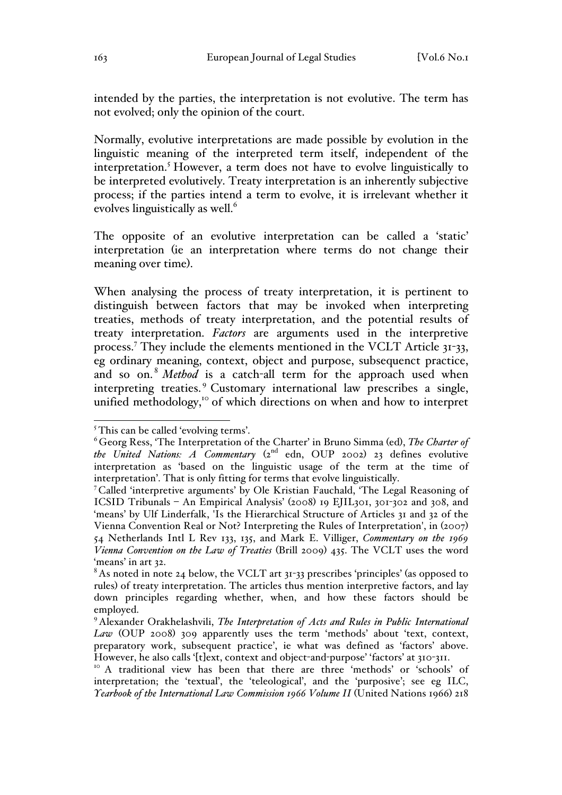intended by the parties, the interpretation is not evolutive. The term has not evolved; only the opinion of the court.

Normally, evolutive interpretations are made possible by evolution in the linguistic meaning of the interpreted term itself, independent of the interpretation.<sup>5</sup> However, a term does not have to evolve linguistically to be interpreted evolutively. Treaty interpretation is an inherently subjective process; if the parties intend a term to evolve, it is irrelevant whether it evolves linguistically as well. $<sup>6</sup>$ </sup>

The opposite of an evolutive interpretation can be called a 'static' interpretation (ie an interpretation where terms do not change their meaning over time).

When analysing the process of treaty interpretation, it is pertinent to distinguish between factors that may be invoked when interpreting treaties, methods of treaty interpretation, and the potential results of treaty interpretation. *Factors* are arguments used in the interpretive process.<sup>7</sup> They include the elements mentioned in the VCLT Article 31-33, eg ordinary meaning, context, object and purpose, subsequenct practice, and so on.<sup>8</sup> *Method* is a catch-all term for the approach used when interpreting treaties. <sup>9</sup> Customary international law prescribes a single, unified methodology,<sup>10</sup> of which directions on when and how to interpret

<sup>-&</sup>lt;br>5

<sup>&</sup>lt;sup>5</sup> This can be called 'evolving terms'.<br><sup>6</sup> Georg Ress, 'The Interpretation of the Charter' in Bruno Simma (ed), *The Charter of* the United Nations: A Commentary (2<sup>nd</sup> edn, OUP 2002) 23 defines evolutive interpretation as 'based on the linguistic usage of the term at the time of interpretation'. That is only fitting for terms that evolve linguistically.

<sup>7</sup> Called 'interpretive arguments' by Ole Kristian Fauchald, 'The Legal Reasoning of ICSID Tribunals – An Empirical Analysis' (2008) 19 EJIL301, 301-302 and 308, and 'means' by Ulf Linderfalk, 'Is the Hierarchical Structure of Articles 31 and 32 of the Vienna Convention Real or Not? Interpreting the Rules of Interpretation', in (2007) 54 Netherlands Intl L Rev 133, 135, and Mark E. Villiger, *Commentary on the 1969 Vienna Convention on the Law of Treaties* (Brill 2009) 435. The VCLT uses the word 'means' in art 32.

 $8$ As noted in note 24 below, the VCLT art 31-33 prescribes 'principles' (as opposed to rules) of treaty interpretation. The articles thus mention interpretive factors, and lay down principles regarding whether, when, and how these factors should be employed.

<sup>9</sup> Alexander Orakhelashvili, *The Interpretation of Acts and Rules in Public International Law* (OUP 2008) 309 apparently uses the term 'methods' about 'text, context, preparatory work, subsequent practice', ie what was defined as 'factors' above.

However, he also calls '[t]ext, context and object-and-purpose' 'factors' at <sup>310</sup>-311. <sup>10</sup> <sup>A</sup> traditional view has been that there are three 'methods' or 'schools' of interpretation; the 'textual', the 'teleological', and the 'purposive'; see eg ILC, *Yearbook of the International Law Commission 1966 Volume II* (United Nations 1966) 218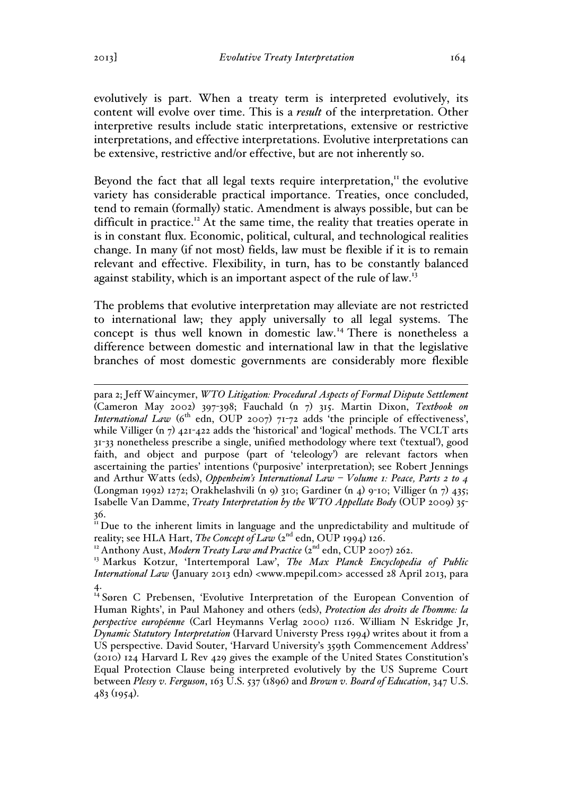evolutively is part. When a treaty term is interpreted evolutively, its content will evolve over time. This is a *result* of the interpretation. Other interpretive results include static interpretations, extensive or restrictive interpretations, and effective interpretations. Evolutive interpretations can be extensive, restrictive and/or effective, but are not inherently so.

Beyond the fact that all legal texts require interpretation, $<sup>II</sup>$  the evolutive</sup> variety has considerable practical importance. Treaties, once concluded, tend to remain (formally) static. Amendment is always possible, but can be difficult in practice.<sup>12</sup> At the same time, the reality that treaties operate in is in constant flux. Economic, political, cultural, and technological realities change. In many (if not most) fields, law must be flexible if it is to remain relevant and effective. Flexibility, in turn, has to be constantly balanced against stability, which is an important aspect of the rule of law.<sup>13</sup>

The problems that evolutive interpretation may alleviate are not restricted to international law; they apply universally to all legal systems. The concept is thus well known in domestic law.<sup>14</sup> There is nonetheless a difference between domestic and international law in that the legislative branches of most domestic governments are considerably more flexible

 para 2; Jeff Waincymer, *WTO Litigation: Procedural Aspects of Formal Dispute Settlement* (Cameron May 2002) 397-398; Fauchald (n 7) 315. Martin Dixon, *Textbook on International Law* (6<sup>th</sup> edn, OUP 2007) 71-72 adds 'the principle of effectiveness', while Villiger (n  $7)$  421-422 adds the 'historical' and 'logical' methods. The VCLT arts 31-33 nonetheless prescribe a single, unified methodology where text ('textual'), good faith, and object and purpose (part of 'teleology') are relevant factors when ascertaining the parties' intentions ('purposive' interpretation); see Robert Jennings and Arthur Watts (eds), *Oppenheim's International Law – Volume 1: Peace, Parts 2 to 4* (Longman 1992) 1272; Orakhelashvili (n 9) 310; Gardiner (n 4) 9-10; Villiger (n 7) 435; Isabelle Van Damme, *Treaty Interpretation by the WTO Appellate Body* (OUP 2009) 35- 36.

<sup>11</sup>Due to the inherent limits in language and the unpredictability and multitude of

reality; see HLA Hart, *The Concept of Law (2*<sup>nd</sup> edn, OUP 1994) 126.<br><sup>12</sup> Anthony Aust, *Modern Treaty Law and Practice (2*<sup>nd</sup> edn, CUP 200 <sup>12</sup> Anthony Aust, *Modern Treaty Law and Practice*  $(2^{nd}$  edn, CUP 2007) 262.

<sup>13</sup> Markus Kotzur, 'Intertemporal Law', *The Max Planck Encyclopedia of Public International Law* (January 2013 edn) <www.mpepil.com> accessed 28 April 2013, para 4.

<sup>14</sup> Søren C Prebensen, 'Evolutive Interpretation of the European Convention of Human Rights', in Paul Mahoney and others (eds), *Protection des droits de l'homme: la perspective européenne* (Carl Heymanns Verlag 2000) 1126. William N Eskridge Jr, *Dynamic Statutory Interpretation* (Harvard Universty Press 1994) writes about it from a US perspective. David Souter, 'Harvard University's 359th Commencement Address' (2010) 124 Harvard L Rev 429 gives the example of the United States Constitution's Equal Protection Clause being interpreted evolutively by the US Supreme Court between *Plessy v. Ferguson*, 163 U.S. 537 (1896) and *Brown v. Board of Education*, 347 U.S. 483 (1954).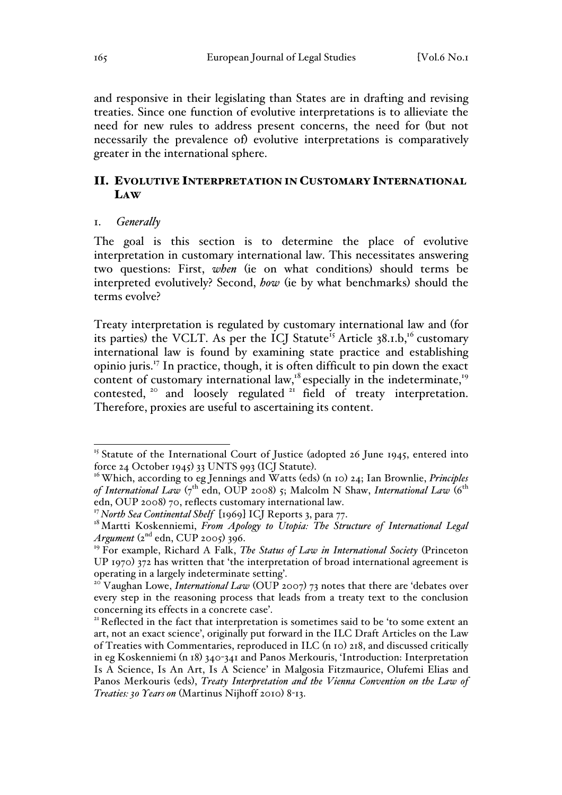and responsive in their legislating than States are in drafting and revising treaties. Since one function of evolutive interpretations is to allieviate the need for new rules to address present concerns, the need for (but not necessarily the prevalence of) evolutive interpretations is comparatively greater in the international sphere.

## II. EVOLUTIVE INTERPRETATION IN CUSTOMARY INTERNATIONAL LAW

#### 1. *Generally*

The goal is this section is to determine the place of evolutive interpretation in customary international law. This necessitates answering two questions: First, *when* (ie on what conditions) should terms be interpreted evolutively? Second, *how* (ie by what benchmarks) should the terms evolve?

Treaty interpretation is regulated by customary international law and (for its parties) the VCLT. As per the ICJ Statute<sup>15</sup> Article  $38.1 \text{h}$ ,<sup>16</sup> customary international law is found by examining state practice and establishing opinio juris.17 In practice, though, it is often difficult to pin down the exact content of customary international law,<sup>18</sup> especially in the indeterminate,<sup>19</sup> contested, <sup>20</sup> and loosely regulated <sup>21</sup> field of treaty interpretation. Therefore, proxies are useful to ascertaining its content.

<sup>&</sup>lt;sup>15</sup> Statute of the International Court of Justice (adopted 26 June 1945, entered into

force 24 October 1945) 33 UNTS 993 (ICJ Statute). 16Which, according to eg Jennings and Watts (eds) (<sup>n</sup> <sup>10</sup>) 24; Ian Brownlie, *Principles* of International Law (7<sup>th</sup> edn, OUP 2008) 5; Malcolm N Shaw, International Law (6<sup>th</sup> edn, OUP 2008) 70, reflects customary international law.

<sup>17</sup> *North Sea Continental Shelf* [1969] ICJ Reports 3, para 77.

<sup>18</sup> Martti Koskenniemi, *From Apology to Utopia: The Structure of International Legal Argument* (2<sup>nd</sup> edn, CUP 2005) 396.

<sup>19</sup> For example, Richard A Falk, *The Status of Law in International Society* (Princeton UP 1970) 372 has written that 'the interpretation of broad international agreement is operating in <sup>a</sup> largely indeterminate setting'. <sup>20</sup> Vaughan Lowe, *International Law* (OUP 2007) <sup>73</sup> notes that there are 'debates over

every step in the reasoning process that leads from a treaty text to the conclusion concerning its effects in a concrete case'.<br><sup>21</sup> Reflected in the fact that interpretation is sometimes said to be 'to some extent an

art, not an exact science', originally put forward in the ILC Draft Articles on the Law of Treaties with Commentaries, reproduced in ILC (n 10) 218, and discussed critically in eg Koskenniemi (n 18) 340-341 and Panos Merkouris, 'Introduction: Interpretation Is A Science, Is An Art, Is A Science' in Malgosia Fitzmaurice, Olufemi Elias and Panos Merkouris (eds), *Treaty Interpretation and the Vienna Convention on the Law of Treaties: 30 Years on* (Martinus Nijhoff 2010) 8-13.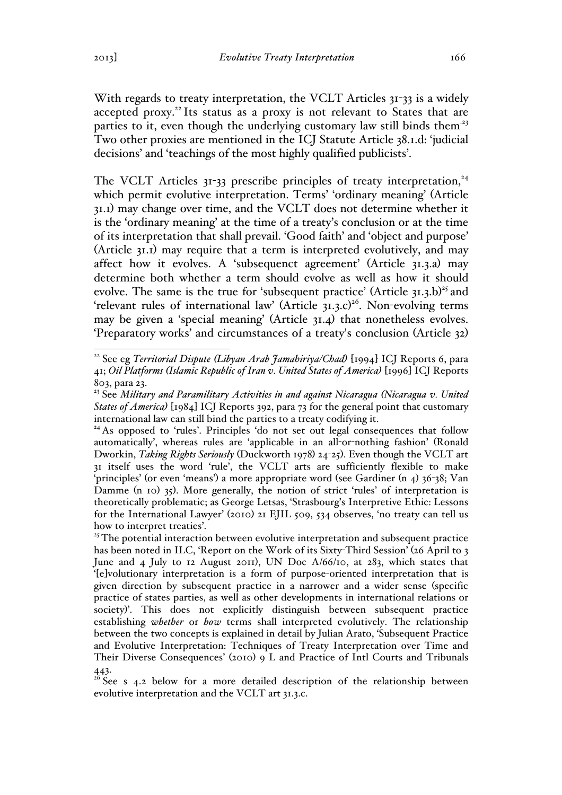With regards to treaty interpretation, the VCLT Articles 31-33 is a widely accepted proxy.<sup>22</sup> Its status as a proxy is not relevant to States that are parties to it, even though the underlying customary law still binds them<sup> $23$ </sup> Two other proxies are mentioned in the ICJ Statute Article 38.1.d: 'judicial decisions' and 'teachings of the most highly qualified publicists'.

The VCLT Articles  $31-33$  prescribe principles of treaty interpretation,<sup>24</sup> which permit evolutive interpretation. Terms' 'ordinary meaning' (Article 31.1) may change over time, and the VCLT does not determine whether it is the 'ordinary meaning' at the time of a treaty's conclusion or at the time of its interpretation that shall prevail. 'Good faith' and 'object and purpose' (Article 31.1) may require that a term is interpreted evolutively, and may affect how it evolves. A 'subsequenct agreement' (Article 31.3.a) may determine both whether a term should evolve as well as how it should evolve. The same is the true for 'subsequent practice' (Article 31.3.b)<sup>25</sup> and 'relevant rules of international law' (Article 31.3.c)<sup>26</sup>. Non-evolving terms may be given a 'special meaning' (Article 31.4) that nonetheless evolves. 'Preparatory works' and circumstances of a treaty's conclusion (Article 32)

<sup>&</sup>lt;sup>22</sup> See eg *Territorial Dispute (Libyan Arab Jamahiriya/Chad)* [1994] ICJ Reports 6, para 41; *Oil Platforms (Islamic Republic of Iran v. United States of America)* [1996] ICJ Reports 803, para 23.

<sup>23</sup> See *Military and Paramilitary Activities in and against Nicaragua (Nicaragua v. United States of America)* [1984] ICJ Reports 392, para 73 for the general point that customary international law can still bind the parties to a treaty codifying it.

<sup>&</sup>lt;sup>24</sup> As opposed to 'rules'. Principles 'do not set out legal consequences that follow automatically', whereas rules are 'applicable in an all-or-nothing fashion' (Ronald Dworkin, *Taking Rights Seriously* (Duckworth 1978) 24-25). Even though the VCLT art 31 itself uses the word 'rule', the VCLT arts are sufficiently flexible to make 'principles' (or even 'means') a more appropriate word (see Gardiner (n 4) 36-38; Van Damme (n 10) 35). More generally, the notion of strict 'rules' of interpretation is theoretically problematic; as George Letsas, 'Strasbourg's Interpretive Ethic: Lessons for the International Lawyer' (2010) 21 EJIL 509, 534 observes, 'no treaty can tell us

how to interpret treaties'.<br><sup>25</sup> The potential interaction between evolutive interpretation and subsequent practice has been noted in ILC, 'Report on the Work of its Sixty-Third Session' (26 April to 3 June and 4 July to 12 August 2011), UN Doc A/66/10, at 283, which states that '[e]volutionary interpretation is a form of purpose-oriented interpretation that is given direction by subsequent practice in a narrower and a wider sense (specific practice of states parties, as well as other developments in international relations or society)'. This does not explicitly distinguish between subsequent practice establishing *whether* or *how* terms shall interpreted evolutively. The relationship between the two concepts is explained in detail by Julian Arato, 'Subsequent Practice and Evolutive Interpretation: Techniques of Treaty Interpretation over Time and Their Diverse Consequences' (2010) 9 L and Practice of Intl Courts and Tribunals 443.

 $26$  See s 4.2 below for a more detailed description of the relationship between evolutive interpretation and the VCLT art 31.3.c.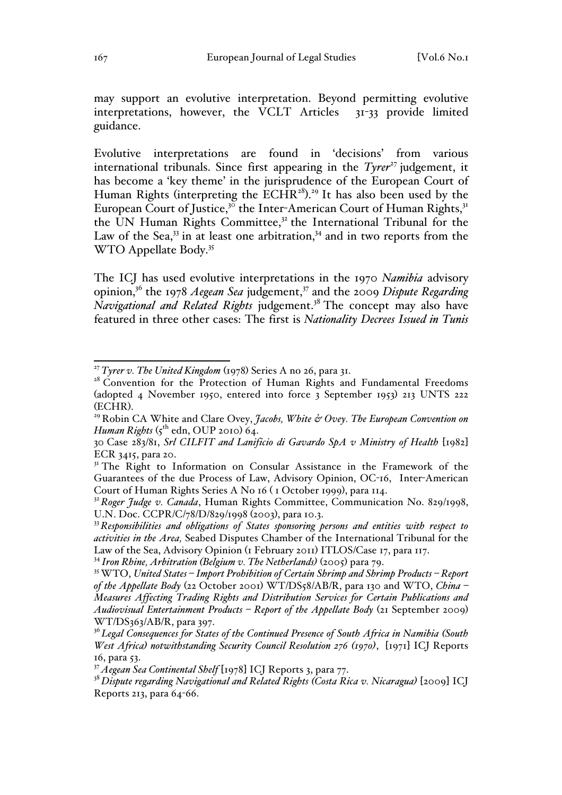may support an evolutive interpretation. Beyond permitting evolutive interpretations, however, the VCLT Articles 31-33 provide limited guidance.

Evolutive interpretations are found in 'decisions' from various international tribunals. Since first appearing in the *Tyrer*<sup>27</sup> judgement, it has become a 'key theme' in the jurisprudence of the European Court of Human Rights (interpreting the ECHR<sup>28</sup>).<sup>29</sup> It has also been used by the European Court of Justice,<sup>30</sup> the Inter-American Court of Human Rights,<sup>31</sup> the UN Human Rights Committee,<sup>32</sup> the International Tribunal for the Law of the Sea,<sup>33</sup> in at least one arbitration,<sup>34</sup> and in two reports from the WTO Appellate Body.<sup>35</sup>

The ICJ has used evolutive interpretations in the 1970 *Namibia* advisory opinion,36 the 1978 *Aegean Sea* judgement,<sup>37</sup> and the 2009 *Dispute Regarding Navigational and Related Rights* judgement.<sup>38</sup> The concept may also have featured in three other cases: The first is *Nationality Decrees Issued in Tunis*

 <sup>27</sup>*Tyrer v. The United Kingdom* (1978) Series A no 26, para 31.

<sup>&</sup>lt;sup>28</sup> Convention for the Protection of Human Rights and Fundamental Freedoms (adopted 4 November 1950, entered into force 3 September 1953) 213 UNTS 222

<sup>(</sup>ECHR). <sup>29</sup> Robin CA White and Clare Ovey, *Jacobs, White & Ovey. The European Convention on Human Rights* (5 th edn, OUP 2010) 64.

<sup>30</sup> Case 283/81, *Srl CILFIT and Lanificio di Gavardo SpA v Ministry of Health* [1982] ECR 3415, para 20.

<sup>&</sup>lt;sup>31</sup> The Right to Information on Consular Assistance in the Framework of the Guarantees of the due Process of Law, Advisory Opinion, OC-16, Inter-American Court of Human Rights Series A No 16 ( 1 October 1999), para 114.

<sup>32</sup>*Roger Judge v. Canada*, Human Rights Committee, Communication No. 829/1998, U.N. Doc. CCPR/C/78/D/829/1998 (2003), para 10.3.

<sup>33</sup>*Responsibilities and obligations of States sponsoring persons and entities with respect to activities in the Area,* Seabed Disputes Chamber of the International Tribunal for the Law of the Sea, Advisory Opinion (1 February 2011) ITLOS/Case 17, para 117.

<sup>34</sup> *Iron Rhine, Arbitration (Belgium v. The Netherlands)* (2005) para 79.

<sup>35</sup>WTO, *United States – Import Prohibition of Certain Shrimp and Shrimp Products – Report of the Appellate Body* (22 October 2001) WT/DS58/AB/R, para 130 and WTO, *China – Measures Affecting Trading Rights and Distribution Services for Certain Publications and Audiovisual Entertainment Products – Report of the Appellate Body* (21 September 2009)  $WT/DS<sub>363</sub>/AB/R$ , para 397.

<sup>36</sup> *Legal Consequences for States of the Continued Presence of South Africa in Namibia (South West Africa) notwithstanding Security Council Resolution 276 (1970)*, [1971] ICJ Reports 16, para 53.

<sup>37</sup> *Aegean Sea Continental Shelf* [1978] ICJ Reports 3, para 77.

<sup>38</sup> *Dispute regarding Navigational and Related Rights (Costa Rica v. Nicaragua)* [2009] ICJ Reports 213, para 64-66.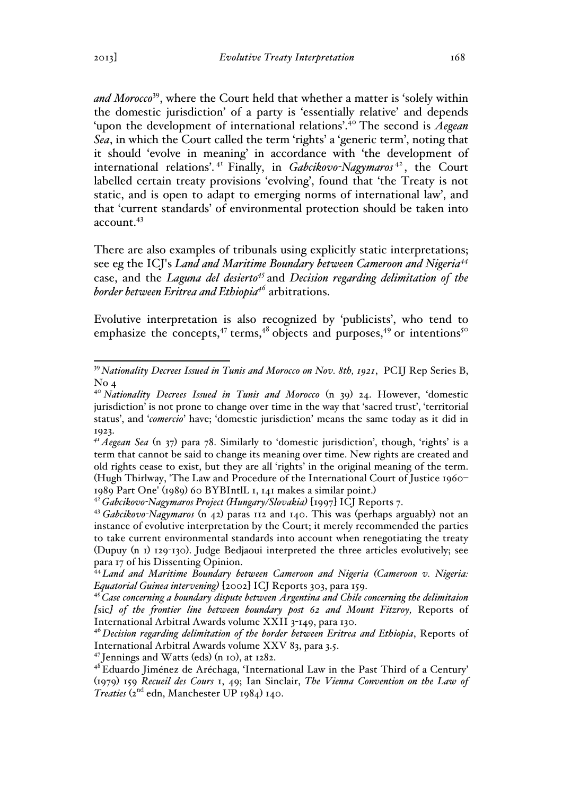*and Morocco*39, where the Court held that whether a matter is 'solely within the domestic jurisdiction' of a party is 'essentially relative' and depends 'upon the development of international relations'.<sup>40</sup> The second is *Aegean Sea*, in which the Court called the term 'rights' a 'generic term', noting that it should 'evolve in meaning' in accordance with 'the development of international relations'. <sup>41</sup> Finally, in *Gabcikovo-Nagymaros* <sup>42</sup> , the Court labelled certain treaty provisions 'evolving', found that 'the Treaty is not static, and is open to adapt to emerging norms of international law', and that 'current standards' of environmental protection should be taken into  $account.<sup>43</sup>$ 

There are also examples of tribunals using explicitly static interpretations; see eg the ICJ's *Land and Maritime Boundary between Cameroon and Nigeria<sup>44</sup>* case, and the *Laguna del desierto45* and *Decision regarding delimitation of the border between Eritrea and Ethiopia<sup>46</sup>* arbitrations.

Evolutive interpretation is also recognized by 'publicists', who tend to emphasize the concepts,  $47$  terms,  $48$  objects and purposes,  $49$  or intentions<sup>50</sup>

 <sup>39</sup> *Nationality Decrees Issued in Tunis and Morocco on Nov. 8th, <sup>1921</sup>*, PCIJ Rep Series B,  $No<sub>4</sub>$ 

<sup>40</sup> *Nationality Decrees Issued in Tunis and Morocco* (n 39) 24. However, 'domestic jurisdiction' is not prone to change over time in the way that 'sacred trust', 'territorial status', and '*comercio*' have; 'domestic jurisdiction' means the same today as it did in 1923.

*<sup>41</sup>Aegean Sea* (n 37) para 78. Similarly to 'domestic jurisdiction', though, 'rights' is a term that cannot be said to change its meaning over time. New rights are created and old rights cease to exist, but they are all 'rights' in the original meaning of the term. (Hugh Thirlway, 'The Law and Procedure of the International Court of Justice 1960– 1989 Part One' (1989) 60 BYBIntlL 1, 141 makes a similar point.)

<sup>42</sup> *Gabcikovo-Nagymaros Project (Hungary/Slovakia)* [1997] ICJ Reports 7.

<sup>43</sup> *Gabcikovo-Nagymaros* (n 42) paras 112 and 140. This was (perhaps arguably) not an instance of evolutive interpretation by the Court; it merely recommended the parties to take current environmental standards into account when renegotiating the treaty (Dupuy (n 1) 129-130). Judge Bedjaoui interpreted the three articles evolutively; see para 17 of his Dissenting Opinion.

<sup>44</sup> *Land and Maritime Boundary between Cameroon and Nigeria (Cameroon v. Nigeria: Equatorial Guinea intervening)* [2002] ICJ Reports 303, para 159.

<sup>45</sup>*Case concerning a boundary dispute between Argentina and Chile concerning the delimitaion [*sic*] of the frontier line between boundary post 62 and Mount Fitzroy,* Reports of International Arbitral Awards volume XXII 3-149, para 130.

<sup>46</sup>*Decision regarding delimitation of the border between Eritrea and Ethiopia*, Reports of International Arbitral Awards volume XXV 83, para 3.5.

 $47$  Jennings and Watts (eds) (n 10), at 1282.

<sup>&</sup>lt;sup>48</sup> Eduardo Jiménez de Aréchaga, 'International Law in the Past Third of a Century' (1979) 159 *Recueil des Cours* 1, 49; Ian Sinclair, *The Vienna Convention on the Law of Treaties* (2 nd edn, Manchester UP 1984) 140.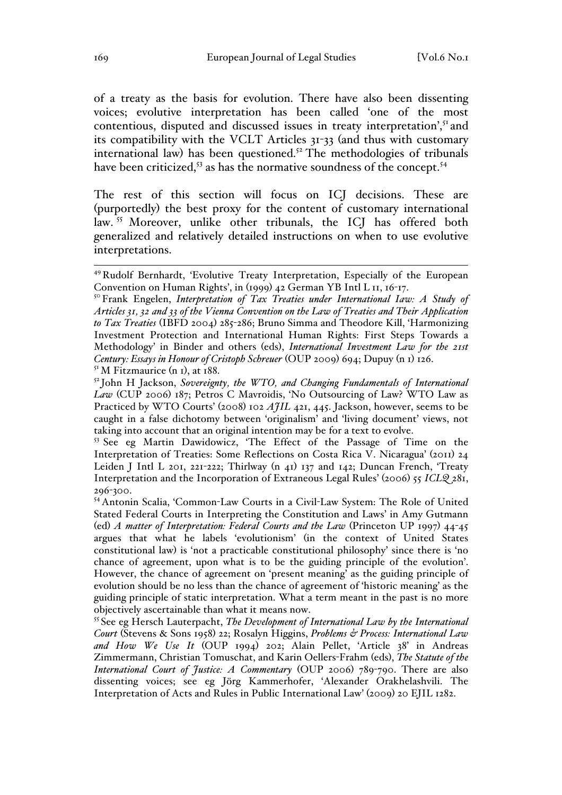of a treaty as the basis for evolution. There have also been dissenting voices; evolutive interpretation has been called 'one of the most contentious, disputed and discussed issues in treaty interpretation',<sup>51</sup> and its compatibility with the VCLT Articles 31-33 (and thus with customary international law) has been questioned.<sup>52</sup> The methodologies of tribunals have been criticized,<sup>53</sup> as has the normative soundness of the concept.<sup>54</sup>

The rest of this section will focus on ICJ decisions. These are (purportedly) the best proxy for the content of customary international law.<sup>55</sup> Moreover, unlike other tribunals, the ICJ has offered both generalized and relatively detailed instructions on when to use evolutive interpretations.

<sup>53</sup> See eg Martin Dawidowicz, 'The Effect of the Passage of Time on the Interpretation of Treaties: Some Reflections on Costa Rica V. Nicaragua' (2011) 24 Leiden J Intl L 201, 221-222; Thirlway (n 41) 137 and 142; Duncan French, 'Treaty Interpretation and the Incorporation of Extraneous Legal Rules' (2006) 55 *ICLQ* 281, 296-300.

 <sup>49</sup> Rudolf Bernhardt, 'Evolutive Treaty Interpretation, Especially of the European Convention on Human Rights', in (1999) 42 German YB Intl L 11, 16-17.

<sup>50</sup> Frank Engelen, *Interpretation of Tax Treaties under International Iaw: A Study of Articles 31, 32 and 33 of the Vienna Convention on the Law of Treaties and Their Application to Tax Treaties* (IBFD 2004) 285-286; Bruno Simma and Theodore Kill, 'Harmonizing Investment Protection and International Human Rights: First Steps Towards a Methodology' in Binder and others (eds), *International Investment Law for the 21st Century: Essays in Honour of Cristoph Schreuer* (OUP 2009) 694; Dupuy (n 1) 126.  $51$  M Fitzmaurice (n I), at 188.

<sup>52</sup> John H Jackson, *Sovereignty, the WTO, and Changing Fundamentals of International Law* (CUP 2006) 187; Petros C Mavroidis, 'No Outsourcing of Law? WTO Law as Practiced by WTO Courts' (2008) 102 *AJIL* 421, 445. Jackson, however, seems to be caught in a false dichotomy between 'originalism' and 'living document' views, not taking into account that an original intention may be for a text to evolve.

<sup>54</sup> Antonin Scalia, 'Common-Law Courts in a Civil-Law System: The Role of United Stated Federal Courts in Interpreting the Constitution and Laws' in Amy Gutmann (ed) *A matter of Interpretation: Federal Courts and the Law* (Princeton UP 1997) 44-45 argues that what he labels 'evolutionism' (in the context of United States constitutional law) is 'not a practicable constitutional philosophy' since there is 'no chance of agreement, upon what is to be the guiding principle of the evolution'. However, the chance of agreement on 'present meaning' as the guiding principle of evolution should be no less than the chance of agreement of 'historic meaning' as the guiding principle of static interpretation. What a term meant in the past is no more objectively ascertainable than what it means now.

<sup>55</sup> See eg Hersch Lauterpacht, *The Development of International Law by the International Court* (Stevens & Sons 1958) 22; Rosalyn Higgins, *Problems & Process: International Law and How We Use It* (OUP 1994) 202; Alain Pellet, 'Article 38' in Andreas Zimmermann, Christian Tomuschat, and Karin Oellers-Frahm (eds), *The Statute of the International Court of Justice: A Commentary* (OUP 2006) 789-790. There are also dissenting voices; see eg Jörg Kammerhofer, 'Alexander Orakhelashvili. The Interpretation of Acts and Rules in Public International Law' (2009) 20 EJIL 1282.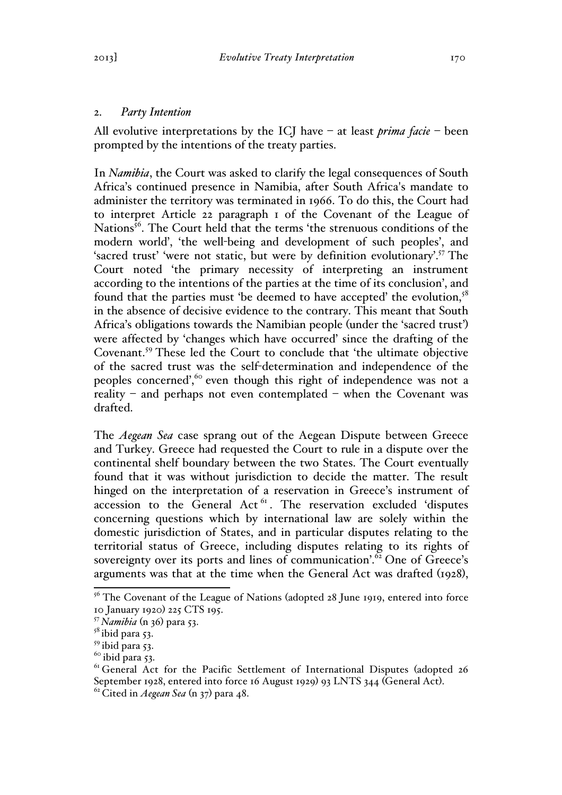### 2. *Party Intention*

All evolutive interpretations by the ICJ have – at least *prima facie* – been prompted by the intentions of the treaty parties.

In *Namibia*, the Court was asked to clarify the legal consequences of South Africa's continued presence in Namibia, after South Africa's mandate to administer the territory was terminated in 1966. To do this, the Court had to interpret Article 22 paragraph 1 of the Covenant of the League of Nations $\bar{5}^6$ . The Court held that the terms 'the strenuous conditions of the modern world', 'the well-being and development of such peoples', and 'sacred trust' 'were not static, but were by definition evolutionary'.<sup>57</sup> The Court noted 'the primary necessity of interpreting an instrument according to the intentions of the parties at the time of its conclusion', and found that the parties must 'be deemed to have accepted' the evolution, $5<sup>8</sup>$ in the absence of decisive evidence to the contrary. This meant that South Africa's obligations towards the Namibian people (under the 'sacred trust') were affected by 'changes which have occurred' since the drafting of the Covenant.<sup>59</sup> These led the Court to conclude that 'the ultimate objective of the sacred trust was the self-determination and independence of the peoples concerned', 60 even though this right of independence was not a reality – and perhaps not even contemplated – when the Covenant was drafted.

The *Aegean Sea* case sprang out of the Aegean Dispute between Greece and Turkey. Greece had requested the Court to rule in a dispute over the continental shelf boundary between the two States. The Court eventually found that it was without jurisdiction to decide the matter. The result hinged on the interpretation of a reservation in Greece's instrument of  $\frac{1}{2}$  accession to the General Act<sup>61</sup>. The reservation excluded 'disputes concerning questions which by international law are solely within the domestic jurisdiction of States, and in particular disputes relating to the territorial status of Greece, including disputes relating to its rights of sovereignty over its ports and lines of communication'.<sup>62</sup> One of Greece's arguments was that at the time when the General Act was drafted (1928),

 $56$  The Covenant of the League of Nations (adopted 28 June 1919, entered into force 10 January 1920) 225 CTS 195.

<sup>57</sup> *Namibia* (n 36) para 53.

 $58$  ibid para 53.

<sup>59</sup> ibid para 53.

 $60$  ibid para 53.

<sup>&</sup>lt;sup>61</sup> General Act for the Pacific Settlement of International Disputes (adopted 26 September 1928, entered into force 16 August 1929) 93 LNTS 344 (General Act). <sup>62</sup> Cited in *Aegean Sea* (n 37) para 48.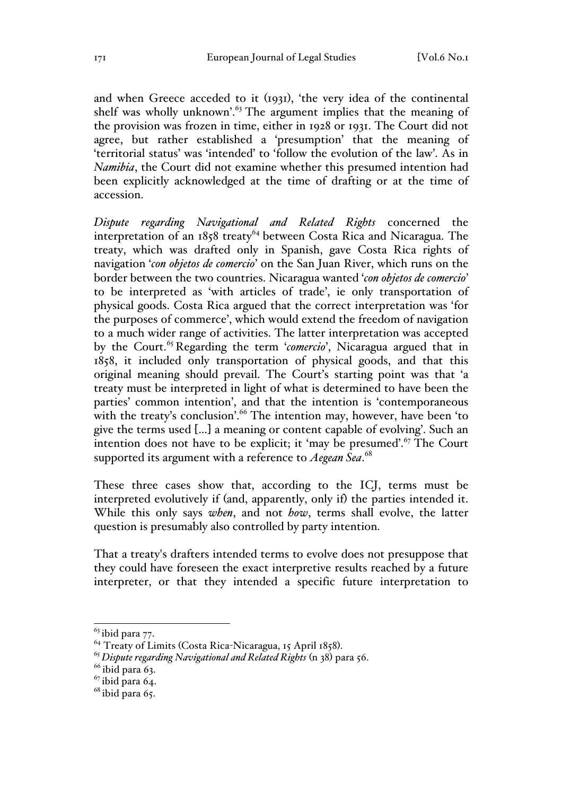and when Greece acceded to it (1931), 'the very idea of the continental shelf was wholly unknown'.<sup>63</sup> The argument implies that the meaning of the provision was frozen in time, either in 1928 or 1931. The Court did not agree, but rather established a 'presumption' that the meaning of 'territorial status' was 'intended' to 'follow the evolution of the law'. As in *Namibia*, the Court did not examine whether this presumed intention had been explicitly acknowledged at the time of drafting or at the time of accession.

*Dispute regarding Navigational and Related Rights* concerned the interpretation of an 1858 treaty<sup>64</sup> between Costa Rica and Nicaragua. The treaty, which was drafted only in Spanish, gave Costa Rica rights of navigation '*con objetos de comercio*' on the San Juan River, which runs on the border between the two countries. Nicaragua wanted '*con objetos de comercio*' to be interpreted as 'with articles of trade', ie only transportation of physical goods. Costa Rica argued that the correct interpretation was 'for the purposes of commerce', which would extend the freedom of navigation to a much wider range of activities. The latter interpretation was accepted by the Court.<sup>65</sup> Regarding the term 'comercio', Nicaragua argued that in 1858, it included only transportation of physical goods, and that this original meaning should prevail. The Court's starting point was that 'a treaty must be interpreted in light of what is determined to have been the parties' common intention', and that the intention is 'contemporaneous with the treaty's conclusion'.<sup>66</sup> The intention may, however, have been 'to give the terms used […] a meaning or content capable of evolving'. Such an intention does not have to be explicit; it 'may be presumed'. <sup>67</sup> The Court supported its argument with a reference to *Aegean Sea*. 68

These three cases show that, according to the ICJ, terms must be interpreted evolutively if (and, apparently, only if) the parties intended it. While this only says *when*, and not *how*, terms shall evolve, the latter question is presumably also controlled by party intention.

That a treaty's drafters intended terms to evolve does not presuppose that they could have foreseen the exact interpretive results reached by a future interpreter, or that they intended a specific future interpretation to

 $^{63}$ ibid para 77.<br> $^{64}$  Treaty of Limits (Costa Rica-Nicaragua, 15 April 1858).

<sup>64</sup> Treaty of Limits (Costa Rica-Nicaragua, 15 April 1858). <sup>65</sup> *Dispute regarding Navigational and Related Rights* (n 38) para 56.

 $66$  ibid para 63.

 $67$  ibid para 64.

<sup>&</sup>lt;sup>68</sup> ibid para 65.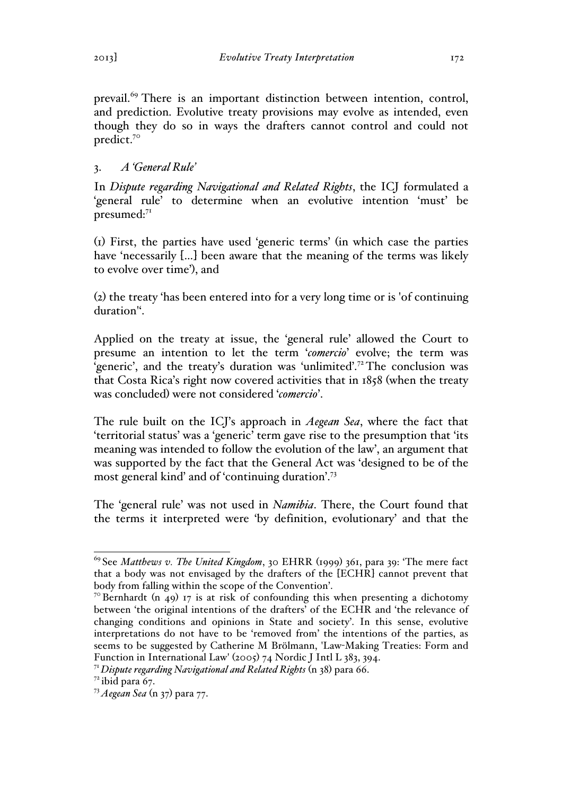prevail.<sup>69</sup> There is an important distinction between intention, control, and prediction. Evolutive treaty provisions may evolve as intended, even though they do so in ways the drafters cannot control and could not predict.<sup>70</sup>

# 3. *A 'General Rule'*

In *Dispute regarding Navigational and Related Rights*, the ICJ formulated a 'general rule' to determine when an evolutive intention 'must' be presumed:<sup>71</sup>

(1) First, the parties have used 'generic terms' (in which case the parties have 'necessarily […] been aware that the meaning of the terms was likely to evolve over time'), and

(2) the treaty 'has been entered into for a very long time or is 'of continuing duration''.

Applied on the treaty at issue, the 'general rule' allowed the Court to presume an intention to let the term '*comercio*' evolve; the term was 'generic', and the treaty's duration was 'unlimited'.<sup>72</sup> The conclusion was that Costa Rica's right now covered activities that in 1858 (when the treaty was concluded) were not considered '*comercio*'.

The rule built on the ICJ's approach in *Aegean Sea*, where the fact that 'territorial status' was a 'generic' term gave rise to the presumption that 'its meaning was intended to follow the evolution of the law', an argument that was supported by the fact that the General Act was 'designed to be of the most general kind' and of 'continuing duration'. 73

The 'general rule' was not used in *Namibia*. There, the Court found that the terms it interpreted were 'by definition, evolutionary' and that the

 <sup>69</sup> See *Matthews v. The United Kingdom*, <sup>30</sup> EHRR (1999) 361, para 39: 'The mere fact that a body was not envisaged by the drafters of the [ECHR] cannot prevent that

body from falling within the scope of the Convention'.<br><sup>70</sup> Bernhardt (n 49) 17 is at risk of confounding this when presenting a dichotomy between 'the original intentions of the drafters' of the ECHR and 'the relevance of changing conditions and opinions in State and society'. In this sense, evolutive interpretations do not have to be 'removed from' the intentions of the parties, as seems to be suggested by Catherine M Brölmann, 'Law-Making Treaties: Form and Function in International Law' (2005) 74 Nordic J Intl L 383, 394.

<sup>71</sup> *Dispute regarding Navigational and Related Rights* (n 38) para 66.

 $72$  ibid para 67.

<sup>73</sup> *Aegean Sea* (n 37) para 77.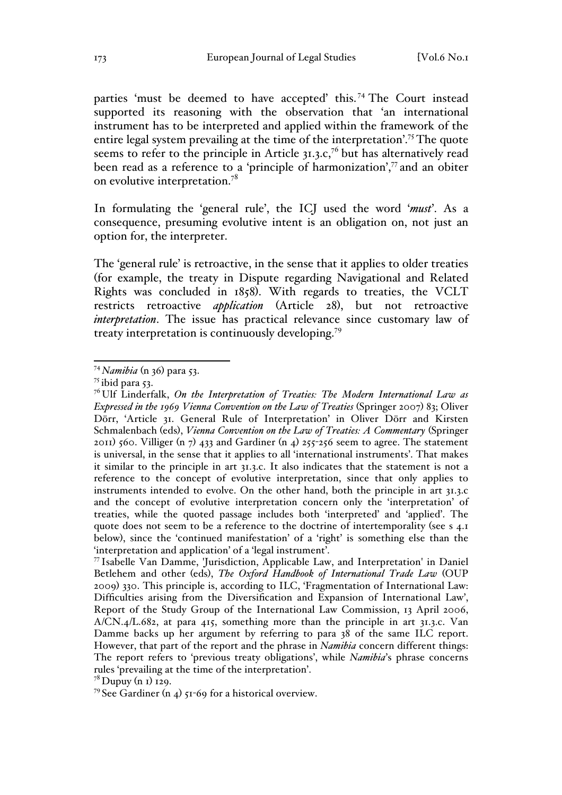parties 'must be deemed to have accepted' this. <sup>74</sup> The Court instead supported its reasoning with the observation that 'an international instrument has to be interpreted and applied within the framework of the entire legal system prevailing at the time of the interpretation'.<sup>75</sup> The quote seems to refer to the principle in Article  $31.3 \cdot c$ ,<sup>76</sup> but has alternatively read been read as a reference to a 'principle of harmonization', <sup>77</sup> and an obiter on evolutive interpretation.<sup>78</sup>

In formulating the 'general rule', the ICJ used the word '*must*'. As a consequence, presuming evolutive intent is an obligation on, not just an option for, the interpreter.

The 'general rule' is retroactive, in the sense that it applies to older treaties (for example, the treaty in Dispute regarding Navigational and Related Rights was concluded in 1858). With regards to treaties, the VCLT restricts retroactive *application* (Article 28), but not retroactive *interpretation*. The issue has practical relevance since customary law of treaty interpretation is continuously developing.<sup>79</sup>

<sup>79</sup> See Gardiner (n 4)  $51-69$  for a historical overview.

 <sup>74</sup> *Namibia* (n 36) para 53.

 $^{75}$  ibid para 53.

<sup>76</sup> Ulf Linderfalk, *On the Interpretation of Treaties: The Modern International Law as Expressed in the 1969 Vienna Convention on the Law of Treaties* (Springer 2007) 83; Oliver Dörr, 'Article 31. General Rule of Interpretation' in Oliver Dörr and Kirsten Schmalenbach (eds), *Vienna Convention on the Law of Treaties: A Commentary* (Springer 2011) 560. Villiger (n  $7)$  433 and Gardiner (n 4) 255-256 seem to agree. The statement is universal, in the sense that it applies to all 'international instruments'. That makes it similar to the principle in art 31.3.c. It also indicates that the statement is not a reference to the concept of evolutive interpretation, since that only applies to instruments intended to evolve. On the other hand, both the principle in art 31.3.c and the concept of evolutive interpretation concern only the 'interpretation' of treaties, while the quoted passage includes both 'interpreted' and 'applied'. The quote does not seem to be a reference to the doctrine of intertemporality (see s 4.1) below), since the 'continued manifestation' of a 'right' is something else than the

<sup>&#</sup>x27;interpretation and application' of <sup>a</sup> 'legal instrument'. <sup>77</sup> Isabelle Van Damme, 'Jurisdiction, Applicable Law, and Interpretation' in Daniel Betlehem and other (eds), *The Oxford Handbook of International Trade Law* (OUP 2009) 330. This principle is, according to ILC, 'Fragmentation of International Law: Difficulties arising from the Diversification and Expansion of International Law', Report of the Study Group of the International Law Commission, 13 April 2006, A/CN.4/L.682, at para 415, something more than the principle in art 31.3.c. Van Damme backs up her argument by referring to para 38 of the same ILC report. However, that part of the report and the phrase in *Namibia* concern different things: The report refers to 'previous treaty obligations', while *Namibia*'s phrase concerns rules 'prevailing at the time of the interpretation'. <sup>78</sup> Dupuy (<sup>n</sup> <sup>1</sup>) 129.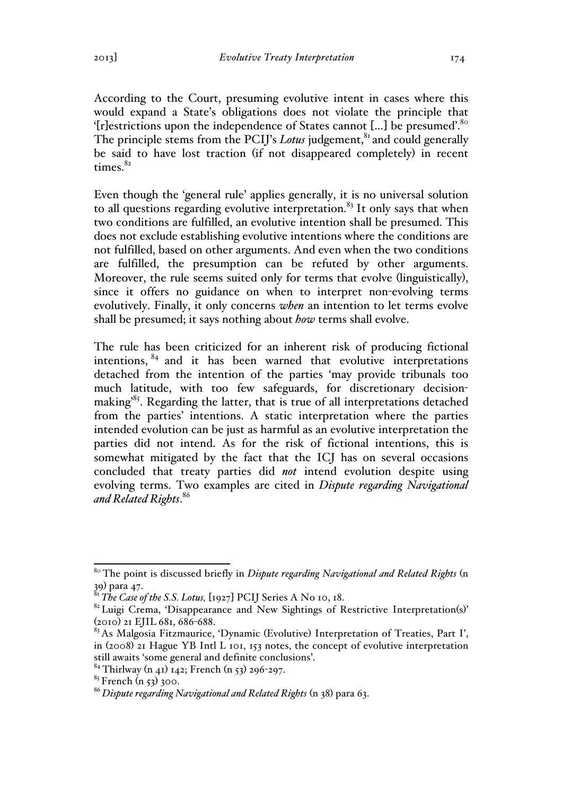According to the Court, presuming evolutive intent in cases where this would expand a State's obligations does not violate the principle that '{r]estrictions upon the independence of States cannot [...] be presumed'. <sup>80</sup> The principle stems from the PCIJ's *Lotus* judgement,<sup>81</sup> and could generally be said to have lost traction (if not disappeared completely) in recent times $82$ 

Even though the 'general rule' applies generally, it is no universal solution to all questions regarding evolutive interpretation.<sup>83</sup> It only says that when two conditions are fulfilled, an evolutive intention shall be presumed. This does not exclude establishing evolutive intentions where the conditions are not fulfilled, based on other arguments. And even when the two conditions are fulfilled, the presumption can be refuted by other arguments. Moreover, the rule seems suited only for terms that evolve (linguistically), since it offers no guidance on when to interpret non-evolving terms evolutively. Finally, it only concerns *when* an intention to let terms evolve shall be presumed; it says nothing about *how* terms shall evolve.

The rule has been criticized for an inherent risk of producing fictional intentions, <sup>84</sup> and it has been warned that evolutive interpretations detached from the intention of the parties 'may provide tribunals too much latitude, with too few safeguards, for discretionary decisionmaking' 85. Regarding the latter, that is true of all interpretations detached from the parties' intentions. A static interpretation where the parties intended evolution can be just as harmful as an evolutive interpretation the parties did not intend. As for the risk of fictional intentions, this is somewhat mitigated by the fact that the ICJ has on several occasions concluded that treaty parties did *not* intend evolution despite using evolving terms. Two examples are cited in *Dispute regarding Navigational and Related Rights*. 86

 <sup>80</sup> The point is discussed briefly in *Dispute regarding Navigational and Related Rights* (<sup>n</sup> 39) para 47.

<sup>81</sup>*The Case of the S.S. Lotus,* [1927] PCIJ Series A No 10, 18.

<sup>&</sup>lt;sup>82</sup> Luigi Crema, 'Disappearance and New Sightings of Restrictive Interpretation(s)' (2010) 21 EJIL 681, 686-688.

<sup>&</sup>lt;sup>83</sup> As Malgosia Fitzmaurice, 'Dynamic (Evolutive) Interpretation of Treaties, Part I', in (2008) 21 Hague YB Intl L 101, 153 notes, the concept of evolutive interpretation still awaits 'some general and definite conclusions'. <sup>84</sup> Thirlway (n 41) 142; French (n 53) <sup>296</sup>-297.

<sup>&</sup>lt;sup>85</sup> French (n 53) 300.

<sup>86</sup> *Dispute regarding Navigational and Related Rights* (n 38) para 63.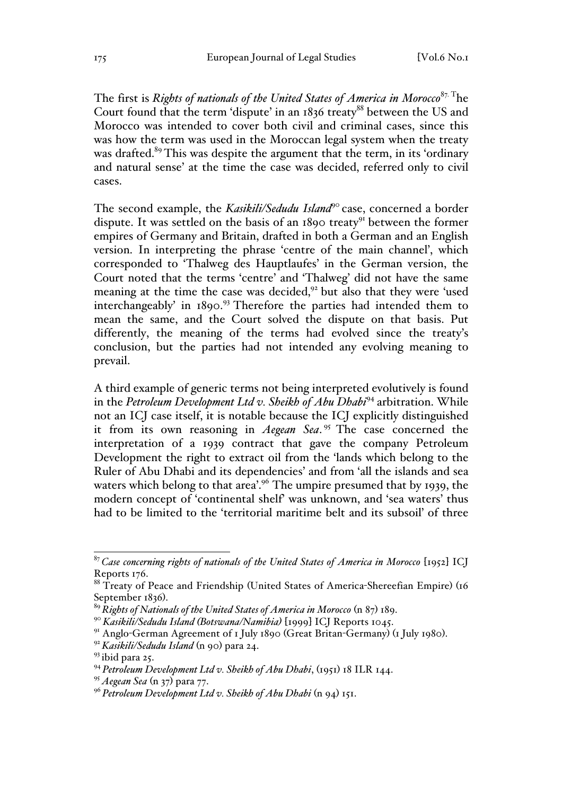The first is *Rights of nationals of the United States of America in Morocco*<sup>87</sup>*.* The Court found that the term 'dispute' in an  $1836$  treaty<sup>88</sup> between the US and Morocco was intended to cover both civil and criminal cases, since this was how the term was used in the Moroccan legal system when the treaty was drafted.<sup>89</sup> This was despite the argument that the term, in its 'ordinary and natural sense' at the time the case was decided, referred only to civil cases.

The second example, the *Kasikili/Sedudu Island*<sup>90</sup> case, concerned a border dispute. It was settled on the basis of an  $1890$  treaty<sup>91</sup> between the former empires of Germany and Britain, drafted in both a German and an English version. In interpreting the phrase 'centre of the main channel', which corresponded to 'Thalweg des Hauptlaufes' in the German version, the Court noted that the terms 'centre' and 'Thalweg' did not have the same meaning at the time the case was decided,<sup>92</sup> but also that they were 'used interchangeably' in 1890.<sup>93</sup> Therefore the parties had intended them to mean the same, and the Court solved the dispute on that basis. Put differently, the meaning of the terms had evolved since the treaty's conclusion, but the parties had not intended any evolving meaning to prevail.

A third example of generic terms not being interpreted evolutively is found in the *Petroleum Development Ltd v. Sheikh of Abu Dhabi*<sup>94</sup> arbitration. While not an ICJ case itself, it is notable because the ICJ explicitly distinguished it from its own reasoning in *Aegean Sea*. <sup>95</sup> The case concerned the interpretation of a 1939 contract that gave the company Petroleum Development the right to extract oil from the 'lands which belong to the Ruler of Abu Dhabi and its dependencies' and from 'all the islands and sea waters which belong to that area'.<sup>96</sup> The umpire presumed that by 1939, the modern concept of 'continental shelf' was unknown, and 'sea waters' thus had to be limited to the 'territorial maritime belt and its subsoil' of three

 <sup>87</sup>*Case concerning rights of nationals of the United States of America in Morocco* [1952] ICJ Reports 176.

 $88$  Treaty of Peace and Friendship (United States of America-Shereefian Empire) (16<br>September 1836).

September 1836). <sup>89</sup>*Rights of Nationals of the United States of America in Morocco* (n 87) 189.

<sup>90</sup> *Kasikili/Sedudu Island (Botswana/Namibia)* [1999] ICJ Reports 1045.

<sup>91</sup> Anglo-German Agreement of 1 July 1890 (Great Britan-Germany) (1 July 1980). <sup>92</sup> *Kasikili/Sedudu Island* (n 90) para 24.

 $93$  ibid para 25.

<sup>94</sup> *Petroleum Development Ltd v. Sheikh of Abu Dhabi*, (1951) 18 ILR 144.

<sup>95</sup> *Aegean Sea* (n 37) para 77.

<sup>96</sup> *Petroleum Development Ltd v. Sheikh of Abu Dhabi* (n 94) 151.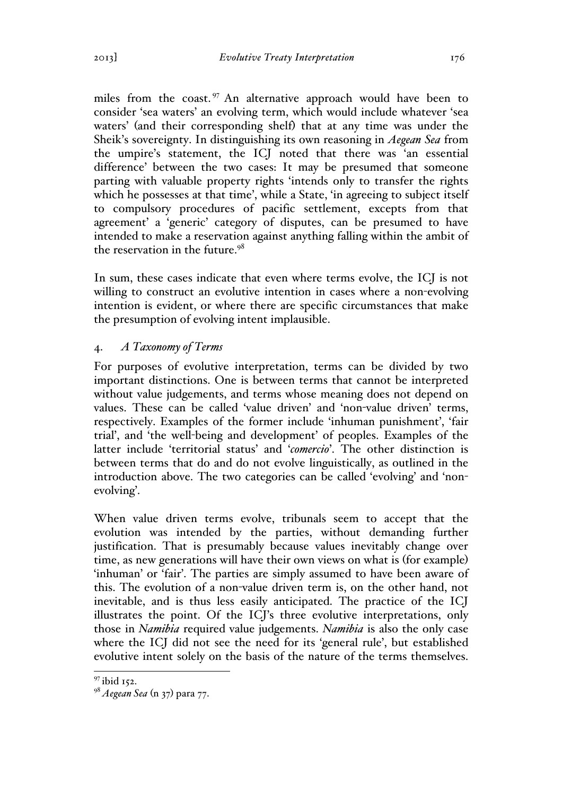miles from the coast.<sup>97</sup> An alternative approach would have been to consider 'sea waters' an evolving term, which would include whatever 'sea waters' (and their corresponding shelf) that at any time was under the Sheik's sovereignty. In distinguishing its own reasoning in *Aegean Sea* from the umpire's statement, the ICJ noted that there was 'an essential difference' between the two cases: It may be presumed that someone parting with valuable property rights 'intends only to transfer the rights which he possesses at that time', while a State, 'in agreeing to subject itself to compulsory procedures of pacific settlement, excepts from that agreement' a 'generic' category of disputes, can be presumed to have intended to make a reservation against anything falling within the ambit of the reservation in the future. $98$ 

In sum, these cases indicate that even where terms evolve, the ICJ is not willing to construct an evolutive intention in cases where a non-evolving intention is evident, or where there are specific circumstances that make the presumption of evolving intent implausible.

## 4. *A Taxonomy of Terms*

For purposes of evolutive interpretation, terms can be divided by two important distinctions. One is between terms that cannot be interpreted without value judgements, and terms whose meaning does not depend on values. These can be called 'value driven' and 'non-value driven' terms, respectively. Examples of the former include 'inhuman punishment', 'fair trial', and 'the well-being and development' of peoples. Examples of the latter include 'territorial status' and '*comercio*'. The other distinction is between terms that do and do not evolve linguistically, as outlined in the introduction above. The two categories can be called 'evolving' and 'nonevolving'.

When value driven terms evolve, tribunals seem to accept that the evolution was intended by the parties, without demanding further justification. That is presumably because values inevitably change over time, as new generations will have their own views on what is (for example) 'inhuman' or 'fair'. The parties are simply assumed to have been aware of this. The evolution of a non-value driven term is, on the other hand, not inevitable, and is thus less easily anticipated. The practice of the ICJ illustrates the point. Of the ICJ's three evolutive interpretations, only those in *Namibia* required value judgements. *Namibia* is also the only case where the ICJ did not see the need for its 'general rule', but established evolutive intent solely on the basis of the nature of the terms themselves.

 <sup>97</sup> ibid 152.

<sup>98</sup> *Aegean Sea* (n 37) para 77.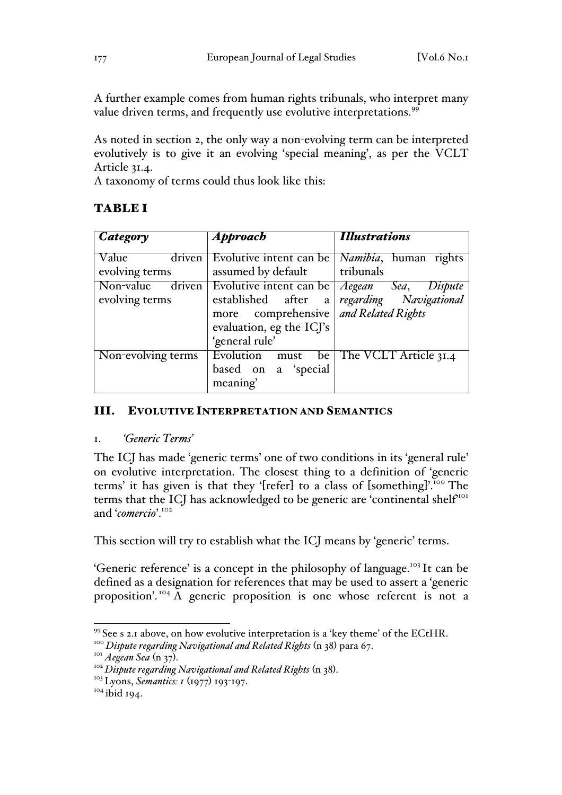A further example comes from human rights tribunals, who interpret many value driven terms, and frequently use evolutive interpretations.<sup>99</sup>

As noted in section 2, the only way a non-evolving term can be interpreted evolutively is to give it an evolving 'special meaning', as per the VCLT Article 31.4.

A taxonomy of terms could thus look like this:

# TABLE I

| Category                              | <b>Approach</b>                                                                                                       | <b>Illustrations</b>                                                |
|---------------------------------------|-----------------------------------------------------------------------------------------------------------------------|---------------------------------------------------------------------|
| driven<br>Value<br>evolving terms     | Evolutive intent can be<br>assumed by default                                                                         | <i>Namibia</i> , human rights<br>tribunals                          |
| driven<br>Non-value<br>evolving terms | Evolutive intent can be<br>established after<br>a<br>more comprehensive<br>evaluation, eg the ICJ's<br>'general rule' | Aegean Sea, Dispute<br>regarding Navigational<br>and Related Rights |
| Non-evolving terms                    | Evolution<br>be<br>must<br>based on a 'special<br>meaning'                                                            | The VCLT Article 31.4                                               |

# III. EVOLUTIVE INTERPRETATION AND SEMANTICS

# 1. *'Generic Terms'*

The ICJ has made 'generic terms' one of two conditions in its 'general rule' on evolutive interpretation. The closest thing to a definition of 'generic terms' it has given is that they '[refer] to a class of [something]'. <sup>100</sup> The terms that the ICJ has acknowledged to be generic are 'continental shelf<sup>101</sup> and '*comercio*'.<sup>102</sup>

This section will try to establish what the ICJ means by 'generic' terms.

'Generic reference' is a concept in the philosophy of language.<sup>103</sup> It can be defined as a designation for references that may be used to assert a 'generic proposition'. <sup>104</sup> A generic proposition is one whose referent is not a

<sup>&</sup>lt;sup>99</sup> See s 2.1 above, on how evolutive interpretation is a 'key theme' of the ECtHR.<br><sup>100</sup> Dispute regarding Navigational and Related Rights (n 38) para 67.<br><sup>101</sup> Aegean Sea (n 37).<br><sup>102</sup> Dispute regarding Navigational an

<sup>&</sup>lt;sup>104</sup> ibid 194.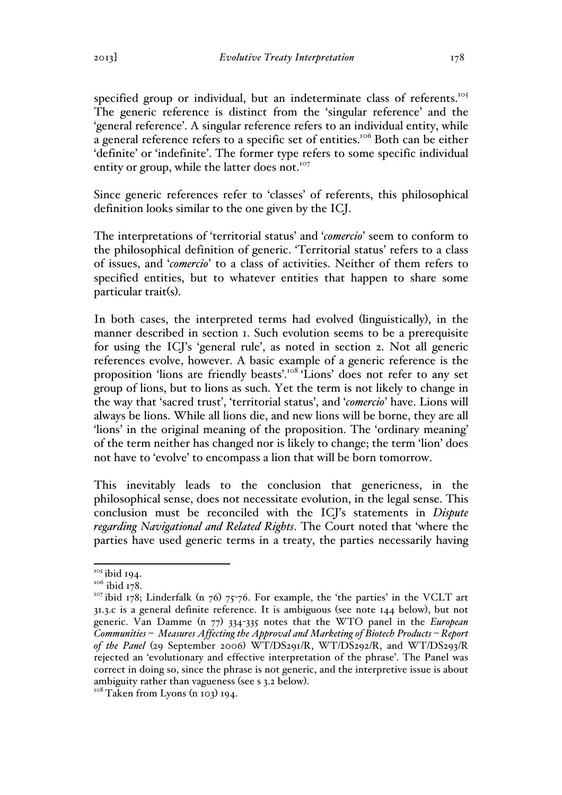specified group or individual, but an indeterminate class of referents.<sup>105</sup> The generic reference is distinct from the 'singular reference' and the 'general reference'. A singular reference refers to an individual entity, while a general reference refers to a specific set of entities.<sup>106</sup> Both can be either 'definite' or 'indefinite'. The former type refers to some specific individual entity or group, while the latter does not.<sup>107</sup>

Since generic references refer to 'classes' of referents, this philosophical definition looks similar to the one given by the ICJ.

The interpretations of 'territorial status' and '*comercio*' seem to conform to the philosophical definition of generic. 'Territorial status' refers to a class of issues, and '*comercio*' to a class of activities. Neither of them refers to specified entities, but to whatever entities that happen to share some particular trait(s).

In both cases, the interpreted terms had evolved (linguistically), in the manner described in section 1. Such evolution seems to be a prerequisite for using the ICJ's 'general rule', as noted in section 2. Not all generic references evolve, however. A basic example of a generic reference is the proposition 'lions are friendly beasts'.<sup>108</sup> 'Lions' does not refer to any set group of lions, but to lions as such. Yet the term is not likely to change in the way that 'sacred trust', 'territorial status', and '*comercio*' have. Lions will always be lions. While all lions die, and new lions will be borne, they are all 'lions' in the original meaning of the proposition. The 'ordinary meaning' of the term neither has changed nor is likely to change; the term 'lion' does not have to 'evolve' to encompass a lion that will be born tomorrow.

This inevitably leads to the conclusion that genericness, in the philosophical sense, does not necessitate evolution, in the legal sense. This conclusion must be reconciled with the ICJ's statements in *Dispute regarding Navigational and Related Rights*. The Court noted that 'where the parties have used generic terms in a treaty, the parties necessarily having

 $^{105}$ ibid 194.<br> $^{106}$ ibid 178.

<sup>&</sup>lt;sup>107</sup> ibid 178; Linderfalk (n 76) 75-76. For example, the 'the parties' in the VCLT art 31.3.c is a general definite reference. It is ambiguous (see note 144 below), but not generic. Van Damme (n 77) 334-335 notes that the WTO panel in the *European Communities – Measures Affecting the Approval and Marketing of Biotech Products – Report of the Panel* (29 September 2006) WT/DS291/R, WT/DS292/R, and WT/DS293/R rejected an 'evolutionary and effective interpretation of the phrase'. The Panel was correct in doing so, since the phrase is not generic, and the interpretive issue is about ambiguity rather than vagueness (see <sup>s</sup> 3.2 below). <sup>108</sup> Taken from Lyons (n 103) 194.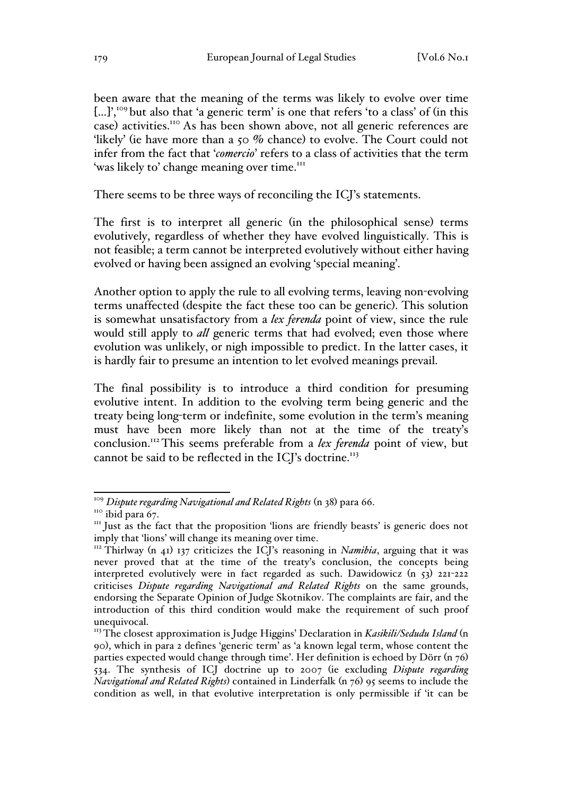been aware that the meaning of the terms was likely to evolve over time [...]',<sup>109</sup> but also that 'a generic term' is one that refers 'to a class' of (in this case) activities.110 As has been shown above, not all generic references are 'likely' (ie have more than a 50 % chance) to evolve. The Court could not infer from the fact that '*comercio*' refers to a class of activities that the term 'was likely to' change meaning over time.<sup>111</sup>

There seems to be three ways of reconciling the ICJ's statements.

The first is to interpret all generic (in the philosophical sense) terms evolutively, regardless of whether they have evolved linguistically. This is not feasible; a term cannot be interpreted evolutively without either having evolved or having been assigned an evolving 'special meaning'.

Another option to apply the rule to all evolving terms, leaving non-evolving terms unaffected (despite the fact these too can be generic). This solution is somewhat unsatisfactory from a *lex ferenda* point of view, since the rule would still apply to *all* generic terms that had evolved; even those where evolution was unlikely, or nigh impossible to predict. In the latter cases, it is hardly fair to presume an intention to let evolved meanings prevail.

The final possibility is to introduce a third condition for presuming evolutive intent. In addition to the evolving term being generic and the treaty being long-term or indefinite, some evolution in the term's meaning must have been more likely than not at the time of the treaty's conclusion.112 This seems preferable from a *lex ferenda* point of view, but cannot be said to be reflected in the ICJ's doctrine.<sup>113</sup>

<sup>&</sup>lt;sup>109</sup> *Dispute regarding Navigational and Related Rights* (n 38) para 66.<br><sup>110</sup> ibid para 67.<br><sup>111</sup> Just as the fact that the proposition 'lions are friendly beasts' is generic does not imply that 'lions' will change its meaning over time.<br><sup>112</sup> Thirlway (n 41) 137 criticizes the ICJ's reasoning in *Namibia*, arguing that it was

never proved that at the time of the treaty's conclusion, the concepts being interpreted evolutively were in fact regarded as such. Dawidowicz  $(n, 53)$  221-222 criticises *Dispute regarding Navigational and Related Rights* on the same grounds, endorsing the Separate Opinion of Judge Skotnikov. The complaints are fair, and the introduction of this third condition would make the requirement of such proof unequivocal.

<sup>&</sup>lt;sup>113</sup> The closest approximation is Judge Higgins' Declaration in *Kasikili/Sedudu Island* (n 90), which in para 2 defines 'generic term' as 'a known legal term, whose content the parties expected would change through time'. Her definition is echoed by Dörr (n 76) 534. The synthesis of ICJ doctrine up to 2007 (ie excluding *Dispute regarding Navigational and Related Rights*) contained in Linderfalk (n 76) 95 seems to include the condition as well, in that evolutive interpretation is only permissible if 'it can be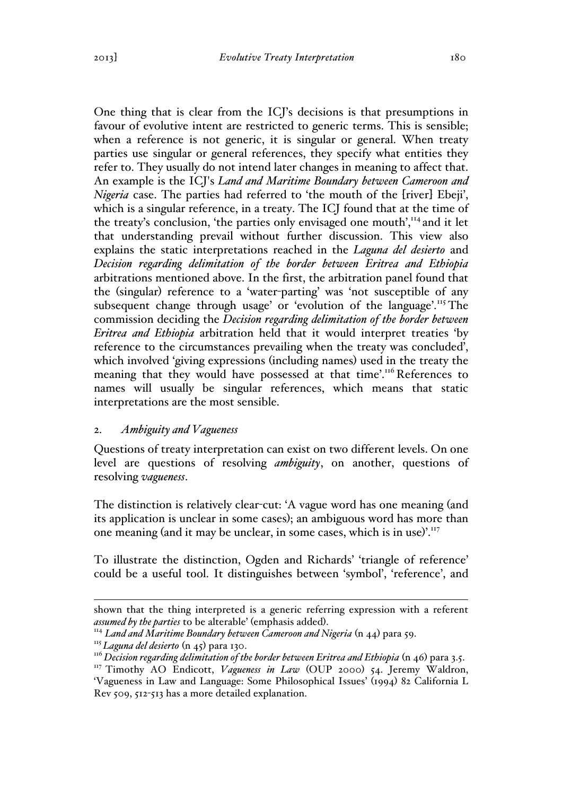One thing that is clear from the ICJ's decisions is that presumptions in favour of evolutive intent are restricted to generic terms. This is sensible; when a reference is not generic, it is singular or general. When treaty parties use singular or general references, they specify what entities they refer to. They usually do not intend later changes in meaning to affect that. An example is the ICJ's *Land and Maritime Boundary between Cameroon and Nigeria* case. The parties had referred to 'the mouth of the [river] Ebeji', which is a singular reference, in a treaty. The ICJ found that at the time of the treaty's conclusion, 'the parties only envisaged one mouth',<sup>114</sup> and it let that understanding prevail without further discussion. This view also explains the static interpretations reached in the *Laguna del desierto* and *Decision regarding delimitation of the border between Eritrea and Ethiopia* arbitrations mentioned above. In the first, the arbitration panel found that the (singular) reference to a 'water-parting' was 'not susceptible of any subsequent change through usage' or 'evolution of the language'.<sup>115</sup> The commission deciding the *Decision regarding delimitation of the border between Eritrea and Ethiopia* arbitration held that it would interpret treaties 'by reference to the circumstances prevailing when the treaty was concluded', which involved 'giving expressions (including names) used in the treaty the meaning that they would have possessed at that time'.<sup>116</sup> References to names will usually be singular references, which means that static interpretations are the most sensible.

### 2. *Ambiguity and Vagueness*

Questions of treaty interpretation can exist on two different levels. On one level are questions of resolving *ambiguity*, on another, questions of resolving *vagueness*.

The distinction is relatively clear-cut: 'A vague word has one meaning (and its application is unclear in some cases); an ambiguous word has more than one meaning (and it may be unclear, in some cases, which is in use)'.<sup>117</sup>

To illustrate the distinction, Ogden and Richards' 'triangle of reference' could be a useful tool. It distinguishes between 'symbol', 'reference', and

shown that the thing interpreted is <sup>a</sup> generic referring expression with <sup>a</sup> referent

*assumed by the parties* to be alterable' (emphasis added). <sup>114</sup> *Land and Maritime Boundary between Cameroon and Nigeria* (n 44) para 59.

<sup>115</sup> *Laguna del desierto* (n 45) para 130.

<sup>116</sup> *Decision regarding delimitation of the border between Eritrea and Ethiopia* (n 46) para 3.5.

<sup>117</sup> Timothy AO Endicott, *Vagueness in Law* (OUP 2000) 54. Jeremy Waldron, 'Vagueness in Law and Language: Some Philosophical Issues' (1994) 82 California L Rev 509, 512-513 has a more detailed explanation.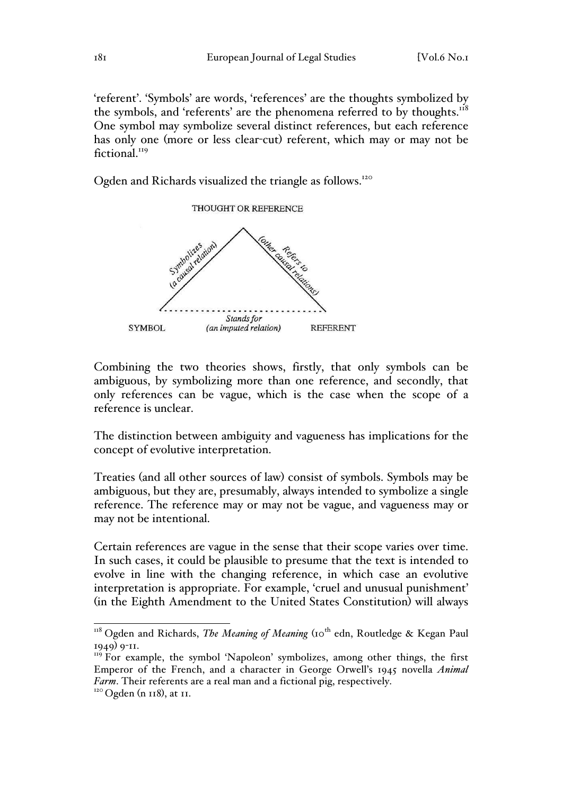'referent'. 'Symbols' are words, 'references' are the thoughts symbolized by the symbols, and 'referents' are the phenomena referred to by thoughts.<sup>118</sup> One symbol may symbolize several distinct references, but each reference has only one (more or less clear-cut) referent, which may or may not be fictional.<sup>119</sup>

Ogden and Richards visualized the triangle as follows.<sup>120</sup>



Combining the two theories shows, firstly, that only symbols can be ambiguous, by symbolizing more than one reference, and secondly, that only references can be vague, which is the case when the scope of a reference is unclear.

The distinction between ambiguity and vagueness has implications for the concept of evolutive interpretation.

Treaties (and all other sources of law) consist of symbols. Symbols may be ambiguous, but they are, presumably, always intended to symbolize a single reference. The reference may or may not be vague, and vagueness may or may not be intentional.

Certain references are vague in the sense that their scope varies over time. In such cases, it could be plausible to presume that the text is intended to evolve in line with the changing reference, in which case an evolutive interpretation is appropriate. For example, 'cruel and unusual punishment' (in the Eighth Amendment to the United States Constitution) will always

<sup>&</sup>lt;sup>118</sup> Ogden and Richards, *The Meaning of Meaning* (10<sup>th</sup> edn, Routledge & Kegan Paul 1949) 9-11.

 $119$  For example, the symbol 'Napoleon' symbolizes, among other things, the first Emperor of the French, and a character in George Orwell's 1945 novella *Animal Farm*. Their referents are a real man and a fictional pig, respectively.<br><sup>120</sup> Ogden (n 118), at 11.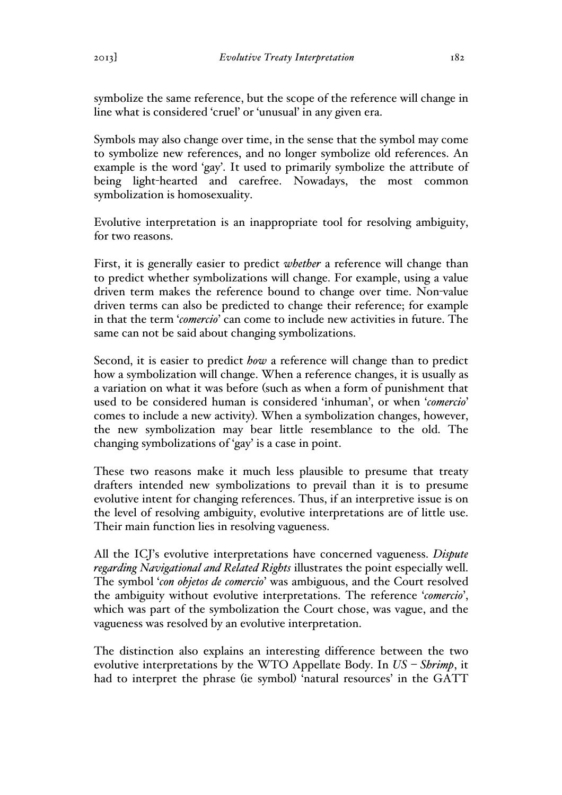symbolize the same reference, but the scope of the reference will change in line what is considered 'cruel' or 'unusual' in any given era.

Symbols may also change over time, in the sense that the symbol may come to symbolize new references, and no longer symbolize old references. An example is the word 'gay'. It used to primarily symbolize the attribute of being light-hearted and carefree. Nowadays, the most common symbolization is homosexuality.

Evolutive interpretation is an inappropriate tool for resolving ambiguity, for two reasons.

First, it is generally easier to predict *whether* a reference will change than to predict whether symbolizations will change. For example, using a value driven term makes the reference bound to change over time. Non-value driven terms can also be predicted to change their reference; for example in that the term '*comercio*' can come to include new activities in future. The same can not be said about changing symbolizations.

Second, it is easier to predict *how* a reference will change than to predict how a symbolization will change. When a reference changes, it is usually as a variation on what it was before (such as when a form of punishment that used to be considered human is considered 'inhuman', or when '*comercio*' comes to include a new activity). When a symbolization changes, however, the new symbolization may bear little resemblance to the old. The changing symbolizations of 'gay' is a case in point.

These two reasons make it much less plausible to presume that treaty drafters intended new symbolizations to prevail than it is to presume evolutive intent for changing references. Thus, if an interpretive issue is on the level of resolving ambiguity, evolutive interpretations are of little use. Their main function lies in resolving vagueness.

All the ICJ's evolutive interpretations have concerned vagueness. *Dispute regarding Navigational and Related Rights* illustrates the point especially well. The symbol '*con objetos de comercio*' was ambiguous, and the Court resolved the ambiguity without evolutive interpretations. The reference '*comercio*', which was part of the symbolization the Court chose, was vague, and the vagueness was resolved by an evolutive interpretation.

The distinction also explains an interesting difference between the two evolutive interpretations by the WTO Appellate Body. In *US – Shrimp*, it had to interpret the phrase (ie symbol) 'natural resources' in the GATT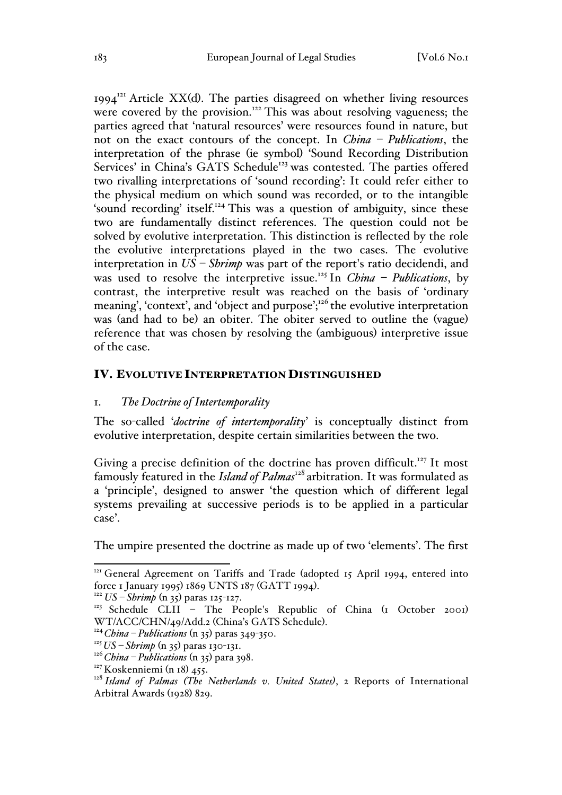$1994<sup>121</sup>$  Article XX(d). The parties disagreed on whether living resources were covered by the provision.<sup>122</sup> This was about resolving vagueness; the parties agreed that 'natural resources' were resources found in nature, but not on the exact contours of the concept. In *China – Publications*, the interpretation of the phrase (ie symbol) 'Sound Recording Distribution Services' in China's GATS Schedule<sup>123</sup> was contested. The parties offered two rivalling interpretations of 'sound recording': It could refer either to the physical medium on which sound was recorded, or to the intangible 'sound recording' itself.<sup>124</sup> This was a question of ambiguity, since these two are fundamentally distinct references. The question could not be solved by evolutive interpretation. This distinction is reflected by the role the evolutive interpretations played in the two cases. The evolutive interpretation in *US – Shrimp* was part of the report's ratio decidendi, and was used to resolve the interpretive issue.<sup>125</sup> In *China – Publications*, by contrast, the interpretive result was reached on the basis of 'ordinary meaning', 'context', and 'object and purpose';<sup>126</sup> the evolutive interpretation was (and had to be) an obiter. The obiter served to outline the (vague) reference that was chosen by resolving the (ambiguous) interpretive issue of the case.

#### IV. EVOLUTIVE INTERPRETATION DISTINGUISHED

#### 1. *The Doctrine of Intertemporality*

The so-called '*doctrine of intertemporality*' is conceptually distinct from evolutive interpretation, despite certain similarities between the two.

Giving a precise definition of the doctrine has proven difficult.<sup>127</sup> It most famously featured in the *Island of Palmas*<sup>128</sup> arbitration. It was formulated as a 'principle', designed to answer 'the question which of different legal systems prevailing at successive periods is to be applied in a particular case'.

The umpire presented the doctrine as made up of two 'elements'. The first

 $121$  General Agreement on Tariffs and Trade (adopted 15 April 1994, entered into force 1 January 1995) 1869 UNTS 187 (GATT 1994). <sup>122</sup> *US – Shrimp* (n 35) paras 125-127.

<sup>&</sup>lt;sup>123</sup> Schedule CLII - The People's Republic of China (1 October 2001) WT/ACC/CHN/49/Add.2 (China's GATS Schedule). <sup>124</sup>*China – Publications* (n 35) paras 349-350.

<sup>125</sup>*US – Shrimp* (n 35) paras 130-131.

<sup>126</sup>*China – Publications* (n 35) para 398.

 $127$  Koskenniemi (n 18) 455.

<sup>128</sup> *Island of Palmas (The Netherlands v. United States)*, 2 Reports of International Arbitral Awards (1928) 829.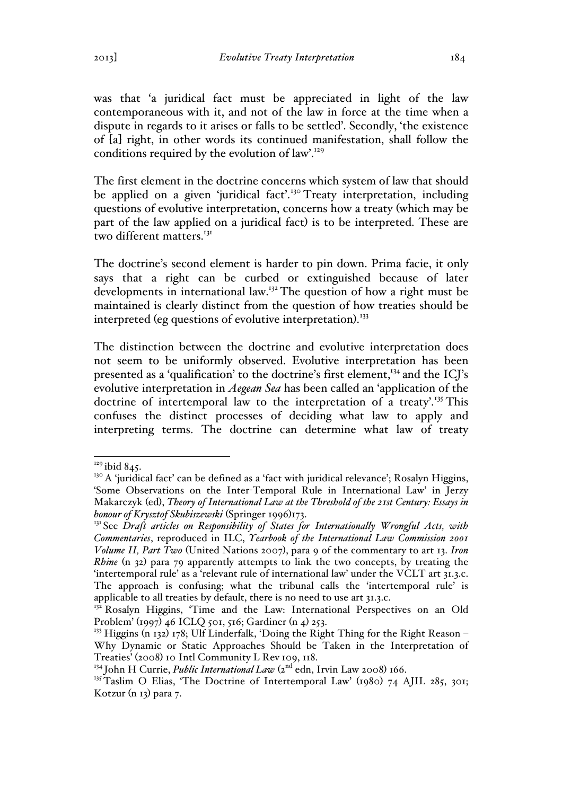was that 'a juridical fact must be appreciated in light of the law contemporaneous with it, and not of the law in force at the time when a dispute in regards to it arises or falls to be settled'. Secondly, 'the existence of [a] right, in other words its continued manifestation, shall follow the conditions required by the evolution of law'.<sup>129</sup>

The first element in the doctrine concerns which system of law that should be applied on a given 'juridical fact'.<sup>130</sup> Treaty interpretation, including questions of evolutive interpretation, concerns how a treaty (which may be part of the law applied on a juridical fact) is to be interpreted. These are two different matters.<sup>131</sup>

The doctrine's second element is harder to pin down. Prima facie, it only says that a right can be curbed or extinguished because of later developments in international law.132 The question of how a right must be maintained is clearly distinct from the question of how treaties should be interpreted (eg questions of evolutive interpretation). 133

The distinction between the doctrine and evolutive interpretation does not seem to be uniformly observed. Evolutive interpretation has been presented as a 'qualification' to the doctrine's first element,<sup>134</sup> and the ICJ's evolutive interpretation in *Aegean Sea* has been called an 'application of the doctrine of intertemporal law to the interpretation of a treaty'.<sup>135</sup> This confuses the distinct processes of deciding what law to apply and interpreting terms. The doctrine can determine what law of treaty

 $129$  ibid 845.

<sup>&</sup>lt;sup>130</sup> A 'juridical fact' can be defined as a 'fact with juridical relevance'; Rosalyn Higgins, 'Some Observations on the Inter-Temporal Rule in International Law' in Jerzy Makarczyk (ed), *Theory of International Law at the Threshold of the 21st Century: Essays in honour of Krysztof Skubiszewski* (Springer 1996)173.

<sup>131</sup> See *Draft articles on Responsibility of States for Internationally Wrongful Acts, with Commentaries*, reproduced in ILC, *Yearbook of the International Law Commission 2001 Volume II, Part Two* (United Nations 2007), para 9 of the commentary to art 13. *Iron Rhine* (n 32) para 79 apparently attempts to link the two concepts, by treating the 'intertemporal rule' as a 'relevant rule of international law' under the VCLT art 31.3.c. The approach is confusing; what the tribunal calls the 'intertemporal rule' is applicable to all treaties by default, there is no need to use art 31.3.c.

<sup>&</sup>lt;sup>132</sup> Rosalyn Higgins, 'Time and the Law: International Perspectives on an Old Problem' (1997) 46 ICLQ 501, 516; Gardiner (n 4) 253.<br><sup>133</sup> Higgins (n 132) 178; Ulf Linderfalk, 'Doing the Right Thing for the Right Reason –

Why Dynamic or Static Approaches Should be Taken in the Interpretation of Treaties' (2008) 10 Intl Community L Rev 109, 118.

<sup>&</sup>lt;sup>134</sup> John H Currie, *Public International Law* (2<sup>nd</sup> edn, Irvin Law 2008) 166.

<sup>&</sup>lt;sup>135</sup> Taslim O Elias, 'The Doctrine of Intertemporal Law' (1980) 74 AJIL 285, 301; Kotzur (n 13) para 7.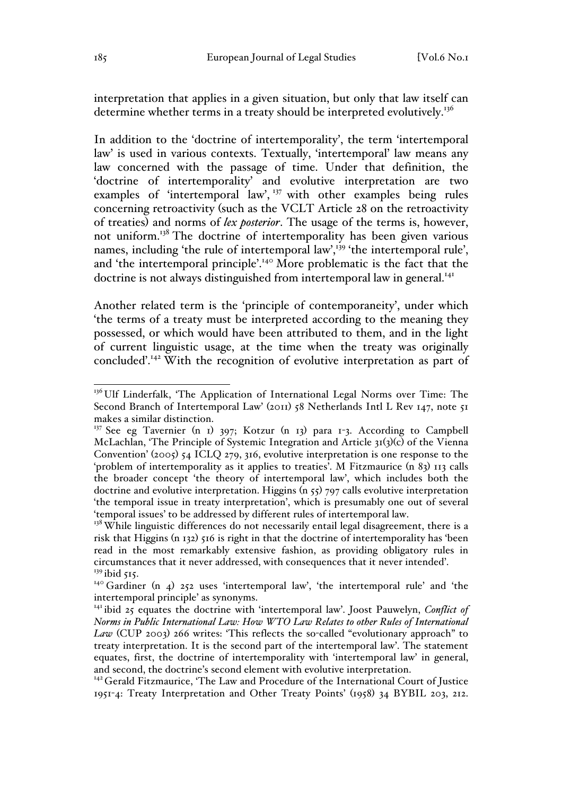interpretation that applies in a given situation, but only that law itself can determine whether terms in a treaty should be interpreted evolutively.<sup>136</sup>

In addition to the 'doctrine of intertemporality', the term 'intertemporal law' is used in various contexts. Textually, 'intertemporal' law means any law concerned with the passage of time. Under that definition, the 'doctrine of intertemporality' and evolutive interpretation are two examples of 'intertemporal law', <sup>137</sup> with other examples being rules concerning retroactivity (such as the VCLT Article 28 on the retroactivity of treaties) and norms of *lex posterior*. The usage of the terms is, however, not uniform.<sup>138</sup> The doctrine of intertemporality has been given various names, including 'the rule of intertemporal law',<sup>139</sup> 'the intertemporal rule', and 'the intertemporal principle'.<sup>140</sup> More problematic is the fact that the doctrine is not always distinguished from intertemporal law in general.<sup>141</sup>

Another related term is the 'principle of contemporaneity', under which 'the terms of a treaty must be interpreted according to the meaning they possessed, or which would have been attributed to them, and in the light of current linguistic usage, at the time when the treaty was originally concluded'. <sup>142</sup> With the recognition of evolutive interpretation as part of

<sup>&</sup>lt;sup>136</sup> Ulf Linderfalk, 'The Application of International Legal Norms over Time: The Second Branch of Intertemporal Law' (2011) 58 Netherlands Intl L Rev 147, note 51 makes a similar distinction.

 $137$  See eg Tavernier (n 1) 397; Kotzur (n 13) para 1-3. According to Campbell McLachlan, 'The Principle of Systemic Integration and Article 31(3)(c) of the Vienna Convention' (2005) 54 ICLQ 279, 316, evolutive interpretation is one response to the 'problem of intertemporality as it applies to treaties'. M Fitzmaurice (n 83) 113 calls the broader concept 'the theory of intertemporal law', which includes both the doctrine and evolutive interpretation. Higgins (n 55) 797 calls evolutive interpretation 'the temporal issue in treaty interpretation', which is presumably one out of several 'temporal issues' to be addressed by different rules of intertemporal law.

<sup>&</sup>lt;sup>138</sup>While linguistic differences do not necessarily entail legal disagreement, there is a risk that Higgins (n 132) 516 is right in that the doctrine of intertemporality has 'been read in the most remarkably extensive fashion, as providing obligatory rules in circumstances that it never addressed, with consequences that it never intended'. <sup>139</sup> ibid 515.

 $140$  Gardiner (n 4) 252 uses 'intertemporal law', 'the intertemporal rule' and 'the intertemporal principle' as synonyms.

<sup>141</sup> ibid 25 equates the doctrine with 'intertemporal law'. Joost Pauwelyn, *Conflict of Norms in Public International Law: How WTO Law Relates to other Rules of International Law* (CUP 2003) 266 writes: 'This reflects the so-called "evolutionary approach" to treaty interpretation. It is the second part of the intertemporal law'. The statement equates, first, the doctrine of intertemporality with 'intertemporal law' in general, and second, the doctrine's second element with evolutive interpretation.

<sup>&</sup>lt;sup>142</sup> Gerald Fitzmaurice, 'The Law and Procedure of the International Court of Justice 1951-4: Treaty Interpretation and Other Treaty Points' (1958) 34 BYBIL 203, 212.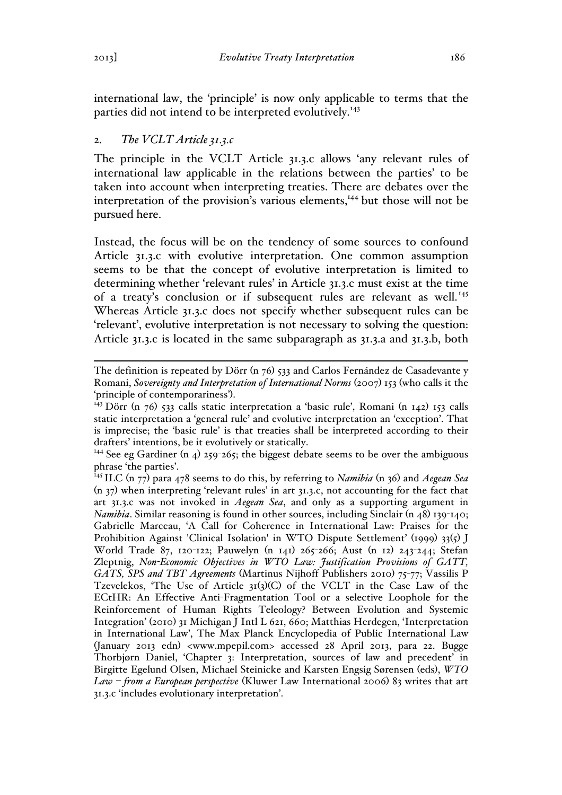international law, the 'principle' is now only applicable to terms that the parties did not intend to be interpreted evolutively.<sup>143</sup>

## 2. *The VCLT Article 31.3.c*

The principle in the VCLT Article 31.3.c allows 'any relevant rules of international law applicable in the relations between the parties' to be taken into account when interpreting treaties. There are debates over the interpretation of the provision's various elements,<sup>144</sup> but those will not be pursued here.

Instead, the focus will be on the tendency of some sources to confound Article 31.3.c with evolutive interpretation. One common assumption seems to be that the concept of evolutive interpretation is limited to determining whether 'relevant rules' in Article 31.3.c must exist at the time of a treaty's conclusion or if subsequent rules are relevant as well.<sup>145</sup> Whereas Article 31.3.c does not specify whether subsequent rules can be 'relevant', evolutive interpretation is not necessary to solving the question: Article 31.3.c is located in the same subparagraph as 31.3.a and 31.3.b, both

The definition is repeated by Dörr (n 76) <sup>533</sup> and Carlos Fernández de Casadevante y Romani, *Sovereignty and Interpretation of International Norms* (2007) 153 (who calls it the

<sup>&#</sup>x27;principle of contemporariness').<br><sup>143</sup> Dörr (n 76) 533 calls static interpretation a 'basic rule', Romani (n 142) 153 calls static interpretation a 'general rule' and evolutive interpretation an 'exception'. That is imprecise; the 'basic rule' is that treaties shall be interpreted according to their drafters' intentions, be it evolutively or statically.

 $144$  See eg Gardiner (n 4) 259-265; the biggest debate seems to be over the ambiguous

phrase 'the parties'. <sup>145</sup> ILC (n 77) para <sup>478</sup> seems to do this, by referring to *Namibia* (n 36) and *Aegean Sea* (n 37) when interpreting 'relevant rules' in art 31.3.c, not accounting for the fact that art 31.3.c was not invoked in *Aegean Sea*, and only as a supporting argument in *Namibia*. Similar reasoning is found in other sources, including Sinclair (n 48) 139-140; Gabrielle Marceau, 'A Call for Coherence in International Law: Praises for the Prohibition Against 'Clinical Isolation' in WTO Dispute Settlement' (1999) 33(5) J World Trade 87, 120-122; Pauwelyn (n 141) 265-266; Aust (n 12) 243-244; Stefan Zleptnig, *Non-Economic Objectives in WTO Law: Justification Provisions of GATT, GATS, SPS and TBT Agreements* (Martinus Nijhoff Publishers 2010) 75-77; Vassilis P Tzevelekos, 'The Use of Article 31(3)(C) of the VCLT in the Case Law of the ECtHR: An Effective Anti-Fragmentation Tool or a selective Loophole for the Reinforcement of Human Rights Teleology? Between Evolution and Systemic Integration' (2010) 31 Michigan J Intl L 621, 660; Matthias Herdegen, 'Interpretation in International Law', The Max Planck Encyclopedia of Public International Law (January 2013 edn) <www.mpepil.com> accessed 28 April 2013, para 22. Bugge Thorbjørn Daniel, 'Chapter 3: Interpretation, sources of law and precedent' in Birgitte Egelund Olsen, Michael Steinicke and Karsten Engsig Sørensen (eds), *WTO Law – from a European perspective* (Kluwer Law International 2006) 83 writes that art 31.3.c 'includes evolutionary interpretation'.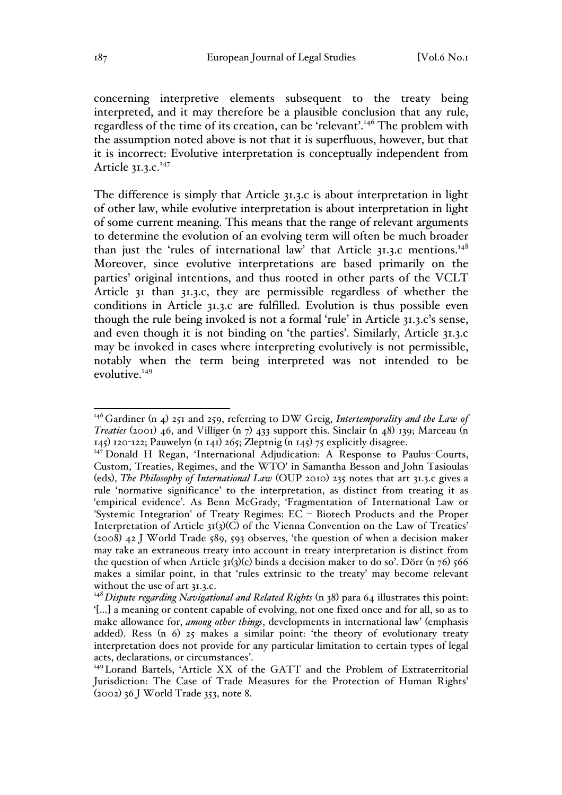concerning interpretive elements subsequent to the treaty being interpreted, and it may therefore be a plausible conclusion that any rule, regardless of the time of its creation, can be 'relevant'.<sup>146</sup> The problem with the assumption noted above is not that it is superfluous, however, but that it is incorrect: Evolutive interpretation is conceptually independent from Article  $31.3.c.<sup>147</sup>$ 

The difference is simply that Article 31.3.c is about interpretation in light of other law, while evolutive interpretation is about interpretation in light of some current meaning. This means that the range of relevant arguments to determine the evolution of an evolving term will often be much broader than just the 'rules of international law' that Article  $31.3$ .c mentions.<sup>148</sup> Moreover, since evolutive interpretations are based primarily on the parties' original intentions, and thus rooted in other parts of the VCLT Article 31 than 31.3.c, they are permissible regardless of whether the conditions in Article 31.3.c are fulfilled. Evolution is thus possible even though the rule being invoked is not a formal 'rule' in Article 31.3.c's sense, and even though it is not binding on 'the parties'. Similarly, Article 31.3.c may be invoked in cases where interpreting evolutively is not permissible, notably when the term being interpreted was not intended to be evolutive.149

 <sup>146</sup> Gardiner (<sup>n</sup> <sup>4</sup>) <sup>251</sup> and 259, referring to DW Greig, *Intertemporality and the Law of Treaties* (2001) 46, and Villiger (n 7) 433 support this. Sinclair (n 48) 139; Marceau (n 145) 120-122; Pauwelyn (n 141) 265; Zleptnig (n 145) 75 explicitly disagree.

<sup>&</sup>lt;sup>147</sup> Donald H Regan, 'International Adjudication: A Response to Paulus-Courts, Custom, Treaties, Regimes, and the WTO' in Samantha Besson and John Tasioulas (eds), *The Philosophy of International Law* (OUP 2010) 235 notes that art 31.3.c gives a rule 'normative significance' to the interpretation, as distinct from treating it as 'empirical evidence'. As Benn McGrady, 'Fragmentation of International Law or 'Systemic Integration' of Treaty Regimes: EC – Biotech Products and the Proper Interpretation of Article 31(3)(C) of the Vienna Convention on the Law of Treaties' (2008) 42 J World Trade 589, 593 observes, 'the question of when a decision maker may take an extraneous treaty into account in treaty interpretation is distinct from the question of when Article  $3I(3)(c)$  binds a decision maker to do so'. Dörr (n 76) 566 makes a similar point, in that 'rules extrinsic to the treaty' may become relevant without the use of art 31.3.c.

<sup>148</sup>*Dispute regarding Navigational and Related Rights* (n 38) para 64 illustrates this point: '[…] a meaning or content capable of evolving, not one fixed once and for all, so as to make allowance for, *among other things*, developments in international law' (emphasis added). Ress (n 6) 25 makes a similar point: 'the theory of evolutionary treaty interpretation does not provide for any particular limitation to certain types of legal acts, declarations, or circumstances'.<br><sup>149</sup> Lorand Bartels, 'Article XX of the GATT and the Problem of Extraterritorial

Jurisdiction: The Case of Trade Measures for the Protection of Human Rights' (2002) 36 J World Trade 353, note 8.